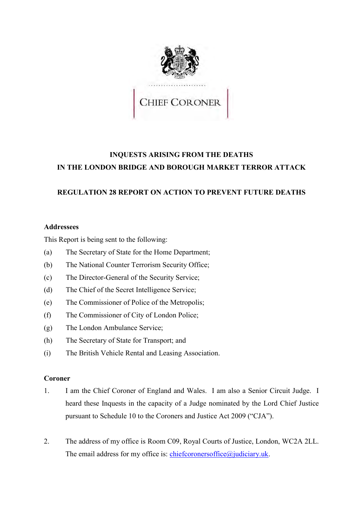

**CHIEF CORONER** 

# **INQUESTS ARISING FROM THE DEATHS IN THE LONDON BRIDGE AND BOROUGH MARKET TERROR ATTACK**

# **REGULATION 28 REPORT ON ACTION TO PREVENT FUTURE DEATHS**

### **Addressees**

This Report is being sent to the following:

- (a) The Secretary of State for the Home Department;
- (b) The National Counter Terrorism Security Office;
- (c) The Director-General of the Security Service;
- (d) The Chief of the Secret Intelligence Service;
- (e) The Commissioner of Police of the Metropolis;
- (f) The Commissioner of City of London Police;
- (g) The London Ambulance Service;
- (h) The Secretary of State for Transport; and
- (i) The British Vehicle Rental and Leasing Association.

# **Coroner**

- 1. I am the Chief Coroner of England and Wales. I am also a Senior Circuit Judge. I heard these Inquests in the capacity of a Judge nominated by the Lord Chief Justice pursuant to Schedule 10 to the Coroners and Justice Act 2009 ("CJA").
- 2. The address of my office is Room C09, Royal Courts of Justice, London, WC2A 2LL. The email address for my office is: [chiefcoronersoffice@judiciary.uk.](mailto:chiefcoronersoffice@judiciary.uk)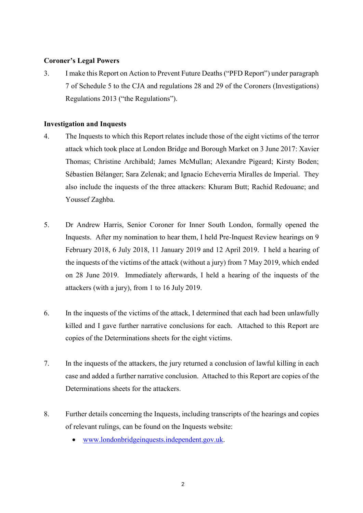### **Coroner's Legal Powers**

3. I make this Report on Action to Prevent Future Deaths ("PFD Report") under paragraph 7 of Schedule 5 to the CJA and regulations 28 and 29 of the Coroners (Investigations) Regulations 2013 ("the Regulations").

### **Investigation and Inquests**

- 4. The Inquests to which this Report relates include those of the eight victims of the terror attack which took place at London Bridge and Borough Market on 3 June 2017: Xavier Thomas; Christine Archibald; James McMullan; Alexandre Pigeard; Kirsty Boden; Sébastien Bélanger; Sara Zelenak; and Ignacio Echeverria Miralles de Imperial. They also include the inquests of the three attackers: Khuram Butt; Rachid Redouane; and Youssef Zaghba.
- 5. Dr Andrew Harris, Senior Coroner for Inner South London, formally opened the Inquests. After my nomination to hear them, I held Pre-Inquest Review hearings on 9 February 2018, 6 July 2018, 11 January 2019 and 12 April 2019. I held a hearing of the inquests of the victims of the attack (without a jury) from 7 May 2019, which ended on 28 June 2019. Immediately afterwards, I held a hearing of the inquests of the attackers (with a jury), from 1 to 16 July 2019.
- 6. In the inquests of the victims of the attack, I determined that each had been unlawfully killed and I gave further narrative conclusions for each. Attached to this Report are copies of the Determinations sheets for the eight victims.
- 7. In the inquests of the attackers, the jury returned a conclusion of lawful killing in each case and added a further narrative conclusion. Attached to this Report are copies of the Determinations sheets for the attackers.
- 8. Further details concerning the Inquests, including transcripts of the hearings and copies of relevant rulings, can be found on the Inquests website:
	- [www.londonbridgeinquests.independent.gov.uk.](http://www.londonbridgeinquests.independent.gov.uk/)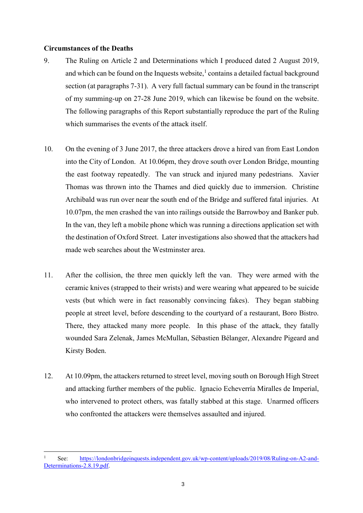#### **Circumstances of the Deaths**

- 9. The Ruling on Article 2 and Determinations which I produced dated 2 August 2019, and which can be found on the Inquests website, $^1$  contains a detailed factual background section (at paragraphs 7-31). A very full factual summary can be found in the transcript of my summing-up on 27-28 June 2019, which can likewise be found on the website. The following paragraphs of this Report substantially reproduce the part of the Ruling which summarises the events of the attack itself.
- 10. On the evening of 3 June 2017, the three attackers drove a hired van from East London into the City of London. At 10.06pm, they drove south over London Bridge, mounting the east footway repeatedly. The van struck and injured many pedestrians. Xavier Thomas was thrown into the Thames and died quickly due to immersion. Christine Archibald was run over near the south end of the Bridge and suffered fatal injuries. At 10.07pm, the men crashed the van into railings outside the Barrowboy and Banker pub. In the van, they left a mobile phone which was running a directions application set with the destination of Oxford Street. Later investigations also showed that the attackers had made web searches about the Westminster area.
- 11. After the collision, the three men quickly left the van. They were armed with the ceramic knives (strapped to their wrists) and were wearing what appeared to be suicide vests (but which were in fact reasonably convincing fakes). They began stabbing people at street level, before descending to the courtyard of a restaurant, Boro Bistro. There, they attacked many more people. In this phase of the attack, they fatally wounded Sara Zelenak, James McMullan, Sébastien Bélanger, Alexandre Pigeard and Kirsty Boden.
- 12. At 10.09pm, the attackers returned to street level, moving south on Borough High Street and attacking further members of the public. Ignacio Echeverría Miralles de Imperial, who intervened to protect others, was fatally stabbed at this stage. Unarmed officers who confronted the attackers were themselves assaulted and injured.

<sup>&</sup>lt;u>.</u> 1 See: [https://londonbridgeinquests.independent.gov.uk/wp-content/uploads/2019/08/Ruling-on-A2-and-](https://londonbridgeinquests.independent.gov.uk/wp-content/uploads/2019/08/Ruling-on-A2-and-Determinations-2.8.19.pdf)[Determinations-2.8.19.pdf.](https://londonbridgeinquests.independent.gov.uk/wp-content/uploads/2019/08/Ruling-on-A2-and-Determinations-2.8.19.pdf)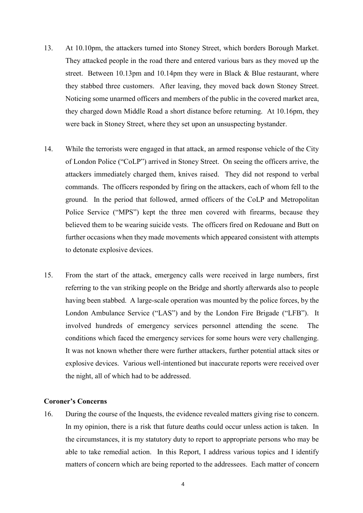- 13. At 10.10pm, the attackers turned into Stoney Street, which borders Borough Market. They attacked people in the road there and entered various bars as they moved up the street. Between 10.13pm and 10.14pm they were in Black & Blue restaurant, where they stabbed three customers. After leaving, they moved back down Stoney Street. Noticing some unarmed officers and members of the public in the covered market area, they charged down Middle Road a short distance before returning. At 10.16pm, they were back in Stoney Street, where they set upon an unsuspecting bystander.
- 14. While the terrorists were engaged in that attack, an armed response vehicle of the City of London Police ("CoLP") arrived in Stoney Street. On seeing the officers arrive, the attackers immediately charged them, knives raised. They did not respond to verbal commands. The officers responded by firing on the attackers, each of whom fell to the ground. In the period that followed, armed officers of the CoLP and Metropolitan Police Service ("MPS") kept the three men covered with firearms, because they believed them to be wearing suicide vests. The officers fired on Redouane and Butt on further occasions when they made movements which appeared consistent with attempts to detonate explosive devices.
- 15. From the start of the attack, emergency calls were received in large numbers, first referring to the van striking people on the Bridge and shortly afterwards also to people having been stabbed. A large-scale operation was mounted by the police forces, by the London Ambulance Service ("LAS") and by the London Fire Brigade ("LFB"). It involved hundreds of emergency services personnel attending the scene. The conditions which faced the emergency services for some hours were very challenging. It was not known whether there were further attackers, further potential attack sites or explosive devices. Various well-intentioned but inaccurate reports were received over the night, all of which had to be addressed.

# **Coroner's Concerns**

16. During the course of the Inquests, the evidence revealed matters giving rise to concern. In my opinion, there is a risk that future deaths could occur unless action is taken. In the circumstances, it is my statutory duty to report to appropriate persons who may be able to take remedial action. In this Report, I address various topics and I identify matters of concern which are being reported to the addressees. Each matter of concern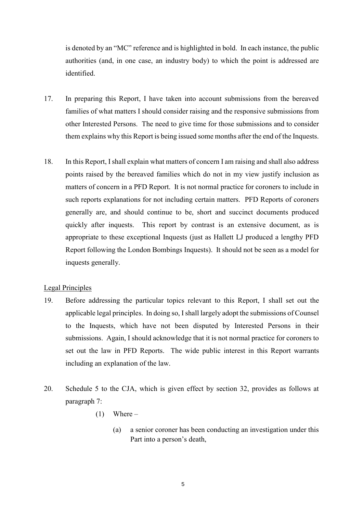is denoted by an "MC" reference and is highlighted in bold. In each instance, the public authorities (and, in one case, an industry body) to which the point is addressed are identified.

- 17. In preparing this Report, I have taken into account submissions from the bereaved families of what matters I should consider raising and the responsive submissions from other Interested Persons. The need to give time for those submissions and to consider them explains why this Report is being issued some months after the end of the Inquests.
- 18. In this Report, I shall explain what matters of concern I am raising and shall also address points raised by the bereaved families which do not in my view justify inclusion as matters of concern in a PFD Report. It is not normal practice for coroners to include in such reports explanations for not including certain matters. PFD Reports of coroners generally are, and should continue to be, short and succinct documents produced quickly after inquests. This report by contrast is an extensive document, as is appropriate to these exceptional Inquests (just as Hallett LJ produced a lengthy PFD Report following the London Bombings Inquests). It should not be seen as a model for inquests generally.

### Legal Principles

- 19. Before addressing the particular topics relevant to this Report, I shall set out the applicable legal principles. In doing so, I shall largely adopt the submissions of Counsel to the Inquests, which have not been disputed by Interested Persons in their submissions. Again, I should acknowledge that it is not normal practice for coroners to set out the law in PFD Reports. The wide public interest in this Report warrants including an explanation of the law.
- 20. Schedule 5 to the CJA, which is given effect by section 32, provides as follows at paragraph 7:
	- $(1)$  Where
		- (a) a senior coroner has been conducting an investigation under this Part into a person's death,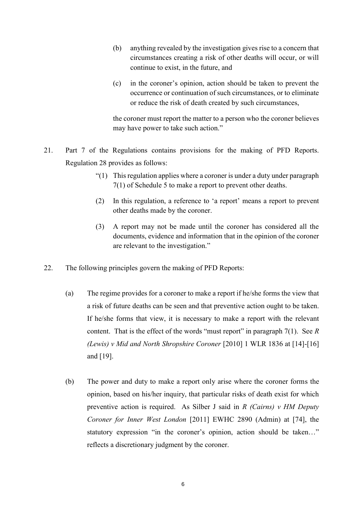- (b) anything revealed by the investigation gives rise to a concern that circumstances creating a risk of other deaths will occur, or will continue to exist, in the future, and
- (c) in the coroner's opinion, action should be taken to prevent the occurrence or continuation of such circumstances, or to eliminate or reduce the risk of death created by such circumstances,

the coroner must report the matter to a person who the coroner believes may have power to take such action."

- 21. Part 7 of the Regulations contains provisions for the making of PFD Reports. Regulation 28 provides as follows:
	- "(1) This regulation applies where a coroner is under a duty under paragraph 7(1) of Schedule 5 to make a report to prevent other deaths.
	- (2) In this regulation, a reference to 'a report' means a report to prevent other deaths made by the coroner.
	- (3) A report may not be made until the coroner has considered all the documents, evidence and information that in the opinion of the coroner are relevant to the investigation."
- 22. The following principles govern the making of PFD Reports:
	- (a) The regime provides for a coroner to make a report if he/she forms the view that a risk of future deaths can be seen and that preventive action ought to be taken. If he/she forms that view, it is necessary to make a report with the relevant content. That is the effect of the words "must report" in paragraph 7(1). See *R (Lewis) v Mid and North Shropshire Coroner* [2010] 1 WLR 1836 at [14]-[16] and [19].
	- (b) The power and duty to make a report only arise where the coroner forms the opinion, based on his/her inquiry, that particular risks of death exist for which preventive action is required. As Silber J said in *R (Cairns) v HM Deputy Coroner for Inner West London* [2011] EWHC 2890 (Admin) at [74], the statutory expression "in the coroner's opinion, action should be taken…" reflects a discretionary judgment by the coroner.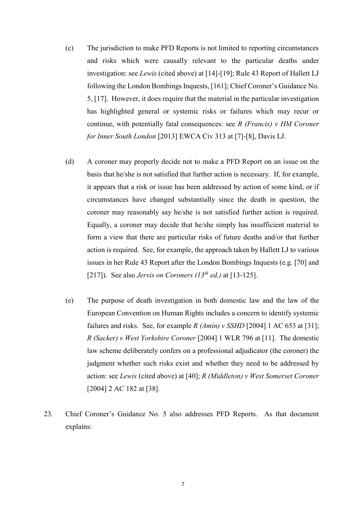- (c) The jurisdiction to make PFD Reports is not limited to reporting circumstances and risks which were causally relevant to the particular deaths under investigation: see *Lewis* (cited above) at [14]-[19]; Rule 43 Report of Hallett LJ following the London Bombings Inquests, [161]; Chief Coroner's Guidance No. 5, [17]. However, it does require that the material in the particular investigation has highlighted general or systemic risks or failures which may recur or continue, with potentially fatal consequences: see *R (Francis) v HM Coroner for Inner South London* [2013] EWCA Civ 313 at [7]-[8], Davis LJ.
- (d) A coroner may properly decide not to make a PFD Report on an issue on the basis that he/she is not satisfied that further action is necessary. If, for example, it appears that a risk or issue has been addressed by action of some kind, or if circumstances have changed substantially since the death in question, the coroner may reasonably say he/she is not satisfied further action is required. Equally, a coroner may decide that he/she simply has insufficient material to form a view that there are particular risks of future deaths and/or that further action is required. See, for example, the approach taken by Hallett LJ to various issues in her Rule 43 Report after the London Bombings Inquests (e.g. [70] and [217]). See also *Jervis on Coroners (13<sup>th</sup> ed.)* at [13-125].
- (e) The purpose of death investigation in both domestic law and the law of the European Convention on Human Rights includes a concern to identify systemic failures and risks. See, for example *R (Amin) v SSHD* [2004] 1 AC 653 at [31]; *R (Sacker) v West Yorkshire Coroner* [2004] 1 WLR 796 at [11]. The domestic law scheme deliberately confers on a professional adjudicator (the coroner) the judgment whether such risks exist and whether they need to be addressed by action: see *Lewis* (cited above) at [40]; *R (Middleton) v West Somerset Coroner*  [2004] 2 AC 182 at [38].
- 23. Chief Coroner's Guidance No. 5 also addresses PFD Reports. As that document explains: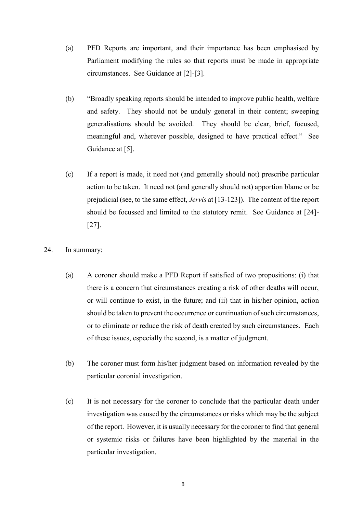- (a) PFD Reports are important, and their importance has been emphasised by Parliament modifying the rules so that reports must be made in appropriate circumstances. See Guidance at [2]-[3].
- (b) "Broadly speaking reports should be intended to improve public health, welfare and safety. They should not be unduly general in their content; sweeping generalisations should be avoided. They should be clear, brief, focused, meaningful and, wherever possible, designed to have practical effect." See Guidance at [5].
- (c) If a report is made, it need not (and generally should not) prescribe particular action to be taken. It need not (and generally should not) apportion blame or be prejudicial (see, to the same effect, *Jervis* at [13-123]). The content of the report should be focussed and limited to the statutory remit. See Guidance at [24]- [27].

# 24. In summary:

- (a) A coroner should make a PFD Report if satisfied of two propositions: (i) that there is a concern that circumstances creating a risk of other deaths will occur, or will continue to exist, in the future; and (ii) that in his/her opinion, action should be taken to prevent the occurrence or continuation of such circumstances, or to eliminate or reduce the risk of death created by such circumstances. Each of these issues, especially the second, is a matter of judgment.
- (b) The coroner must form his/her judgment based on information revealed by the particular coronial investigation.
- (c) It is not necessary for the coroner to conclude that the particular death under investigation was caused by the circumstances or risks which may be the subject of the report. However, it is usually necessary for the coroner to find that general or systemic risks or failures have been highlighted by the material in the particular investigation.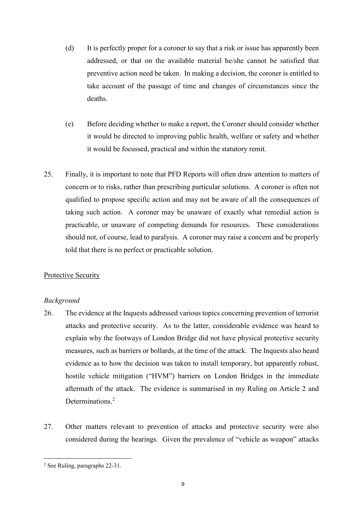- (d) It is perfectly proper for a coroner to say that a risk or issue has apparently been addressed, or that on the available material he/she cannot be satisfied that preventive action need be taken. In making a decision, the coroner is entitled to take account of the passage of time and changes of circumstances since the deaths.
- (e) Before deciding whether to make a report, the Coroner should consider whether it would be directed to improving public health, welfare or safety and whether it would be focussed, practical and within the statutory remit.
- 25. Finally, it is important to note that PFD Reports will often draw attention to matters of concern or to risks, rather than prescribing particular solutions. A coroner is often not qualified to propose specific action and may not be aware of all the consequences of taking such action. A coroner may be unaware of exactly what remedial action is practicable, or unaware of competing demands for resources. These considerations should not, of course, lead to paralysis. A coroner may raise a concern and be properly told that there is no perfect or practicable solution.

# Protective Security

### *Background*

- 26. The evidence at the Inquests addressed various topics concerning prevention of terrorist attacks and protective security. As to the latter, considerable evidence was heard to explain why the footways of London Bridge did not have physical protective security measures, such as barriers or bollards, at the time of the attack. The Inquests also heard evidence as to how the decision was taken to install temporary, but apparently robust, hostile vehicle mitigation ("HVM") barriers on London Bridges in the immediate aftermath of the attack. The evidence is summarised in my Ruling on Article 2 and Determinations.<sup>2</sup>
- 27. Other matters relevant to prevention of attacks and protective security were also considered during the hearings. Given the prevalence of "vehicle as weapon" attacks

<sup>&</sup>lt;u>.</u> 2 See Ruling, paragraphs 22-31.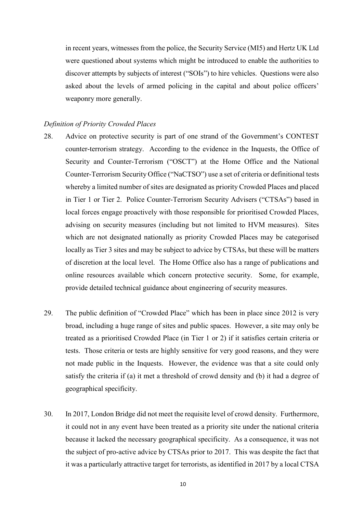in recent years, witnesses from the police, the Security Service (MI5) and Hertz UK Ltd were questioned about systems which might be introduced to enable the authorities to discover attempts by subjects of interest ("SOIs") to hire vehicles. Questions were also asked about the levels of armed policing in the capital and about police officers' weaponry more generally.

## *Definition of Priority Crowded Places*

- 28. Advice on protective security is part of one strand of the Government's CONTEST counter-terrorism strategy. According to the evidence in the Inquests, the Office of Security and Counter-Terrorism ("OSCT") at the Home Office and the National Counter-Terrorism Security Office ("NaCTSO") use a set of criteria or definitional tests whereby a limited number of sites are designated as priority Crowded Places and placed in Tier 1 or Tier 2. Police Counter-Terrorism Security Advisers ("CTSAs") based in local forces engage proactively with those responsible for prioritised Crowded Places, advising on security measures (including but not limited to HVM measures). Sites which are not designated nationally as priority Crowded Places may be categorised locally as Tier 3 sites and may be subject to advice by CTSAs, but these will be matters of discretion at the local level. The Home Office also has a range of publications and online resources available which concern protective security. Some, for example, provide detailed technical guidance about engineering of security measures.
- 29. The public definition of "Crowded Place" which has been in place since 2012 is very broad, including a huge range of sites and public spaces. However, a site may only be treated as a prioritised Crowded Place (in Tier 1 or 2) if it satisfies certain criteria or tests. Those criteria or tests are highly sensitive for very good reasons, and they were not made public in the Inquests. However, the evidence was that a site could only satisfy the criteria if (a) it met a threshold of crowd density and (b) it had a degree of geographical specificity.
- 30. In 2017, London Bridge did not meet the requisite level of crowd density. Furthermore, it could not in any event have been treated as a priority site under the national criteria because it lacked the necessary geographical specificity. As a consequence, it was not the subject of pro-active advice by CTSAs prior to 2017. This was despite the fact that it was a particularly attractive target for terrorists, as identified in 2017 by a local CTSA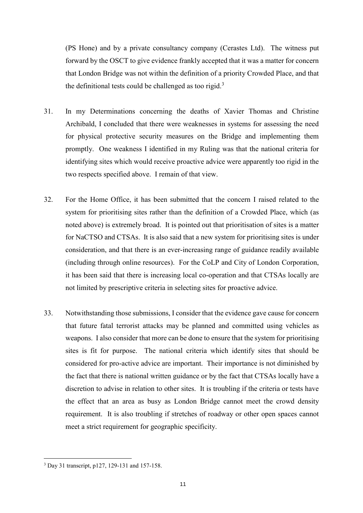(PS Hone) and by a private consultancy company (Cerastes Ltd). The witness put forward by the OSCT to give evidence frankly accepted that it was a matter for concern that London Bridge was not within the definition of a priority Crowded Place, and that the definitional tests could be challenged as too rigid.<sup>3</sup>

- 31. In my Determinations concerning the deaths of Xavier Thomas and Christine Archibald, I concluded that there were weaknesses in systems for assessing the need for physical protective security measures on the Bridge and implementing them promptly. One weakness I identified in my Ruling was that the national criteria for identifying sites which would receive proactive advice were apparently too rigid in the two respects specified above. I remain of that view.
- 32. For the Home Office, it has been submitted that the concern I raised related to the system for prioritising sites rather than the definition of a Crowded Place, which (as noted above) is extremely broad. It is pointed out that prioritisation of sites is a matter for NaCTSO and CTSAs. It is also said that a new system for prioritising sites is under consideration, and that there is an ever-increasing range of guidance readily available (including through online resources). For the CoLP and City of London Corporation, it has been said that there is increasing local co-operation and that CTSAs locally are not limited by prescriptive criteria in selecting sites for proactive advice.
- 33. Notwithstanding those submissions, I consider that the evidence gave cause for concern that future fatal terrorist attacks may be planned and committed using vehicles as weapons. I also consider that more can be done to ensure that the system for prioritising sites is fit for purpose. The national criteria which identify sites that should be considered for pro-active advice are important. Their importance is not diminished by the fact that there is national written guidance or by the fact that CTSAs locally have a discretion to advise in relation to other sites. It is troubling if the criteria or tests have the effect that an area as busy as London Bridge cannot meet the crowd density requirement. It is also troubling if stretches of roadway or other open spaces cannot meet a strict requirement for geographic specificity.

<sup>3</sup> Day 31 transcript, p127, 129-131 and 157-158.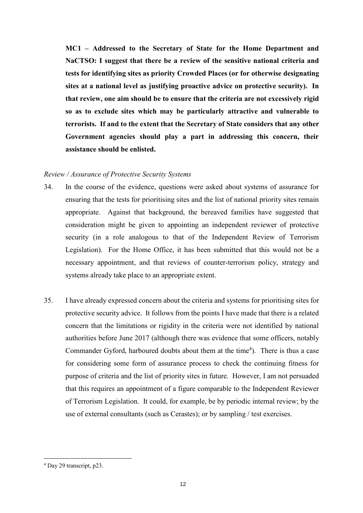**MC1 – Addressed to the Secretary of State for the Home Department and NaCTSO: I suggest that there be a review of the sensitive national criteria and tests for identifying sites as priority Crowded Places (or for otherwise designating sites at a national level as justifying proactive advice on protective security). In that review, one aim should be to ensure that the criteria are not excessively rigid so as to exclude sites which may be particularly attractive and vulnerable to terrorists. If and to the extent that the Secretary of State considers that any other Government agencies should play a part in addressing this concern, their assistance should be enlisted.** 

#### *Review / Assurance of Protective Security Systems*

- 34. In the course of the evidence, questions were asked about systems of assurance for ensuring that the tests for prioritising sites and the list of national priority sites remain appropriate. Against that background, the bereaved families have suggested that consideration might be given to appointing an independent reviewer of protective security (in a role analogous to that of the Independent Review of Terrorism Legislation). For the Home Office, it has been submitted that this would not be a necessary appointment, and that reviews of counter-terrorism policy, strategy and systems already take place to an appropriate extent.
- 35. I have already expressed concern about the criteria and systems for prioritising sites for protective security advice. It follows from the points I have made that there is a related concern that the limitations or rigidity in the criteria were not identified by national authorities before June 2017 (although there was evidence that some officers, notably Commander Gyford, harboured doubts about them at the time<sup>4</sup>). There is thus a case for considering some form of assurance process to check the continuing fitness for purpose of criteria and the list of priority sites in future. However, I am not persuaded that this requires an appointment of a figure comparable to the Independent Reviewer of Terrorism Legislation. It could, for example, be by periodic internal review; by the use of external consultants (such as Cerastes); or by sampling / test exercises.

<sup>4</sup> Day 29 transcript, p23.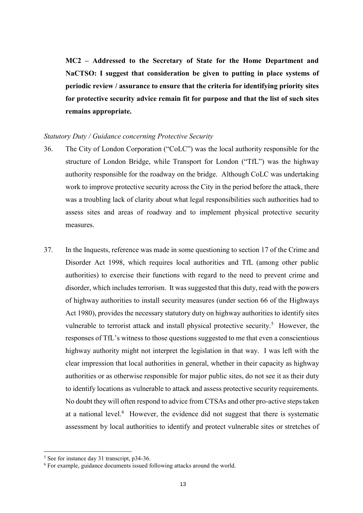**MC2 – Addressed to the Secretary of State for the Home Department and NaCTSO: I suggest that consideration be given to putting in place systems of periodic review / assurance to ensure that the criteria for identifying priority sites for protective security advice remain fit for purpose and that the list of such sites remains appropriate.**

#### *Statutory Duty / Guidance concerning Protective Security*

- 36. The City of London Corporation ("CoLC") was the local authority responsible for the structure of London Bridge, while Transport for London ("TfL") was the highway authority responsible for the roadway on the bridge. Although CoLC was undertaking work to improve protective security across the City in the period before the attack, there was a troubling lack of clarity about what legal responsibilities such authorities had to assess sites and areas of roadway and to implement physical protective security measures.
- 37. In the Inquests, reference was made in some questioning to section 17 of the Crime and Disorder Act 1998, which requires local authorities and TfL (among other public authorities) to exercise their functions with regard to the need to prevent crime and disorder, which includes terrorism. It was suggested that this duty, read with the powers of highway authorities to install security measures (under section 66 of the Highways Act 1980), provides the necessary statutory duty on highway authorities to identify sites vulnerable to terrorist attack and install physical protective security.<sup>5</sup> However, the responses of TfL's witness to those questions suggested to me that even a conscientious highway authority might not interpret the legislation in that way. I was left with the clear impression that local authorities in general, whether in their capacity as highway authorities or as otherwise responsible for major public sites, do not see it as their duty to identify locations as vulnerable to attack and assess protective security requirements. No doubt they will often respond to advice from CTSAs and other pro-active steps taken at a national level.<sup>6</sup> However, the evidence did not suggest that there is systematic assessment by local authorities to identify and protect vulnerable sites or stretches of

 5 See for instance day 31 transcript, p34-36.

<sup>6</sup> For example, guidance documents issued following attacks around the world.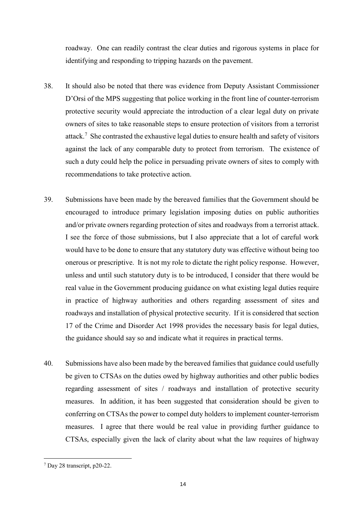roadway. One can readily contrast the clear duties and rigorous systems in place for identifying and responding to tripping hazards on the pavement.

- 38. It should also be noted that there was evidence from Deputy Assistant Commissioner D'Orsi of the MPS suggesting that police working in the front line of counter-terrorism protective security would appreciate the introduction of a clear legal duty on private owners of sites to take reasonable steps to ensure protection of visitors from a terrorist attack.<sup>7</sup> She contrasted the exhaustive legal duties to ensure health and safety of visitors against the lack of any comparable duty to protect from terrorism. The existence of such a duty could help the police in persuading private owners of sites to comply with recommendations to take protective action.
- 39. Submissions have been made by the bereaved families that the Government should be encouraged to introduce primary legislation imposing duties on public authorities and/or private owners regarding protection of sites and roadways from a terrorist attack. I see the force of those submissions, but I also appreciate that a lot of careful work would have to be done to ensure that any statutory duty was effective without being too onerous or prescriptive. It is not my role to dictate the right policy response. However, unless and until such statutory duty is to be introduced, I consider that there would be real value in the Government producing guidance on what existing legal duties require in practice of highway authorities and others regarding assessment of sites and roadways and installation of physical protective security. If it is considered that section 17 of the Crime and Disorder Act 1998 provides the necessary basis for legal duties, the guidance should say so and indicate what it requires in practical terms.
- 40. Submissions have also been made by the bereaved families that guidance could usefully be given to CTSAs on the duties owed by highway authorities and other public bodies regarding assessment of sites / roadways and installation of protective security measures. In addition, it has been suggested that consideration should be given to conferring on CTSAs the power to compel duty holders to implement counter-terrorism measures. I agree that there would be real value in providing further guidance to CTSAs, especially given the lack of clarity about what the law requires of highway

<sup>7</sup> Day 28 transcript, p20-22.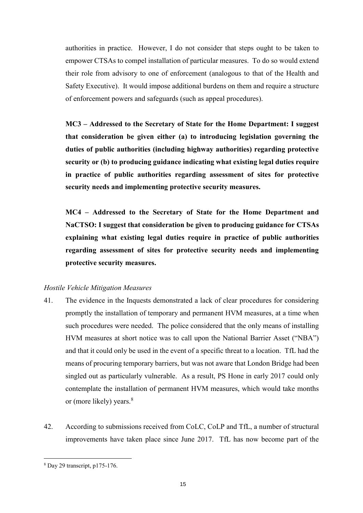authorities in practice. However, I do not consider that steps ought to be taken to empower CTSAs to compel installation of particular measures. To do so would extend their role from advisory to one of enforcement (analogous to that of the Health and Safety Executive). It would impose additional burdens on them and require a structure of enforcement powers and safeguards (such as appeal procedures).

**MC3 – Addressed to the Secretary of State for the Home Department: I suggest that consideration be given either (a) to introducing legislation governing the duties of public authorities (including highway authorities) regarding protective security or (b) to producing guidance indicating what existing legal duties require in practice of public authorities regarding assessment of sites for protective security needs and implementing protective security measures.** 

**MC4 – Addressed to the Secretary of State for the Home Department and NaCTSO: I suggest that consideration be given to producing guidance for CTSAs explaining what existing legal duties require in practice of public authorities regarding assessment of sites for protective security needs and implementing protective security measures.** 

### *Hostile Vehicle Mitigation Measures*

- 41. The evidence in the Inquests demonstrated a lack of clear procedures for considering promptly the installation of temporary and permanent HVM measures, at a time when such procedures were needed. The police considered that the only means of installing HVM measures at short notice was to call upon the National Barrier Asset ("NBA") and that it could only be used in the event of a specific threat to a location. TfL had the means of procuring temporary barriers, but was not aware that London Bridge had been singled out as particularly vulnerable. As a result, PS Hone in early 2017 could only contemplate the installation of permanent HVM measures, which would take months or (more likely) years.<sup>8</sup>
- 42. According to submissions received from CoLC, CoLP and TfL, a number of structural improvements have taken place since June 2017. TfL has now become part of the

<sup>&</sup>lt;u>.</u> 8 Day 29 transcript, p175-176.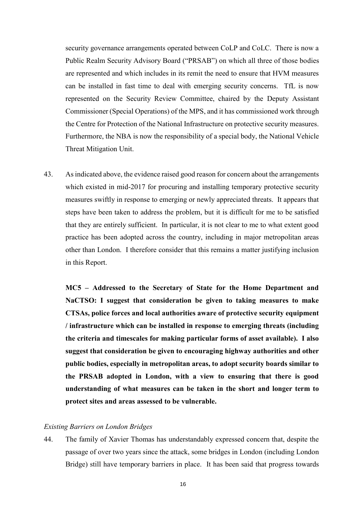security governance arrangements operated between CoLP and CoLC. There is now a Public Realm Security Advisory Board ("PRSAB") on which all three of those bodies are represented and which includes in its remit the need to ensure that HVM measures can be installed in fast time to deal with emerging security concerns. TfL is now represented on the Security Review Committee, chaired by the Deputy Assistant Commissioner (Special Operations) of the MPS, and it has commissioned work through the Centre for Protection of the National Infrastructure on protective security measures. Furthermore, the NBA is now the responsibility of a special body, the National Vehicle Threat Mitigation Unit.

43. As indicated above, the evidence raised good reason for concern about the arrangements which existed in mid-2017 for procuring and installing temporary protective security measures swiftly in response to emerging or newly appreciated threats. It appears that steps have been taken to address the problem, but it is difficult for me to be satisfied that they are entirely sufficient. In particular, it is not clear to me to what extent good practice has been adopted across the country, including in major metropolitan areas other than London. I therefore consider that this remains a matter justifying inclusion in this Report.

**MC5 – Addressed to the Secretary of State for the Home Department and NaCTSO: I suggest that consideration be given to taking measures to make CTSAs, police forces and local authorities aware of protective security equipment / infrastructure which can be installed in response to emerging threats (including the criteria and timescales for making particular forms of asset available). I also suggest that consideration be given to encouraging highway authorities and other public bodies, especially in metropolitan areas, to adopt security boards similar to the PRSAB adopted in London, with a view to ensuring that there is good understanding of what measures can be taken in the short and longer term to protect sites and areas assessed to be vulnerable.** 

#### *Existing Barriers on London Bridges*

44. The family of Xavier Thomas has understandably expressed concern that, despite the passage of over two years since the attack, some bridges in London (including London Bridge) still have temporary barriers in place. It has been said that progress towards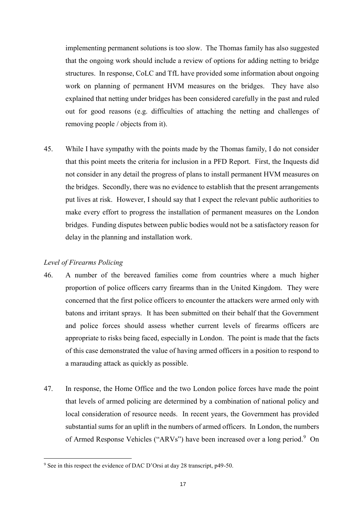implementing permanent solutions is too slow. The Thomas family has also suggested that the ongoing work should include a review of options for adding netting to bridge structures. In response, CoLC and TfL have provided some information about ongoing work on planning of permanent HVM measures on the bridges. They have also explained that netting under bridges has been considered carefully in the past and ruled out for good reasons (e.g. difficulties of attaching the netting and challenges of removing people / objects from it).

45. While I have sympathy with the points made by the Thomas family, I do not consider that this point meets the criteria for inclusion in a PFD Report. First, the Inquests did not consider in any detail the progress of plans to install permanent HVM measures on the bridges. Secondly, there was no evidence to establish that the present arrangements put lives at risk. However, I should say that I expect the relevant public authorities to make every effort to progress the installation of permanent measures on the London bridges. Funding disputes between public bodies would not be a satisfactory reason for delay in the planning and installation work.

### *Level of Firearms Policing*

- 46. A number of the bereaved families come from countries where a much higher proportion of police officers carry firearms than in the United Kingdom. They were concerned that the first police officers to encounter the attackers were armed only with batons and irritant sprays. It has been submitted on their behalf that the Government and police forces should assess whether current levels of firearms officers are appropriate to risks being faced, especially in London. The point is made that the facts of this case demonstrated the value of having armed officers in a position to respond to a marauding attack as quickly as possible.
- 47. In response, the Home Office and the two London police forces have made the point that levels of armed policing are determined by a combination of national policy and local consideration of resource needs. In recent years, the Government has provided substantial sums for an uplift in the numbers of armed officers. In London, the numbers of Armed Response Vehicles ("ARVs") have been increased over a long period.<sup>9</sup> On

<sup>&</sup>lt;sup>9</sup> See in this respect the evidence of DAC D'Orsi at day 28 transcript, p49-50.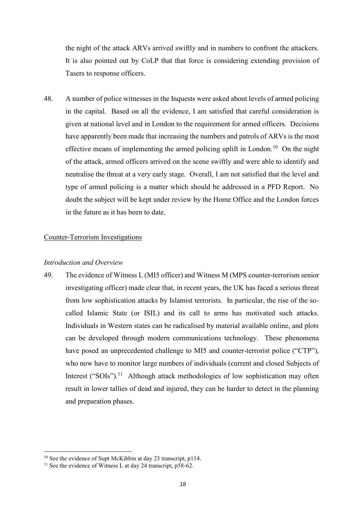the night of the attack ARVs arrived swiftly and in numbers to confront the attackers. It is also pointed out by CoLP that that force is considering extending provision of Tasers to response officers.

48. A number of police witnesses in the Inquests were asked about levels of armed policing in the capital. Based on all the evidence, I am satisfied that careful consideration is given at national level and in London to the requirement for armed officers. Decisions have apparently been made that increasing the numbers and patrols of ARVs is the most effective means of implementing the armed policing uplift in London.<sup>10</sup> On the night of the attack, armed officers arrived on the scene swiftly and were able to identify and neutralise the threat at a very early stage. Overall, I am not satisfied that the level and type of armed policing is a matter which should be addressed in a PFD Report. No doubt the subject will be kept under review by the Home Office and the London forces in the future as it has been to date.

### Counter-Terrorism Investigations

#### *Introduction and Overview*

49. The evidence of Witness L (MI5 officer) and Witness M (MPS counter-terrorism senior investigating officer) made clear that, in recent years, the UK has faced a serious threat from low sophistication attacks by Islamist terrorists. In particular, the rise of the socalled Islamic State (or ISIL) and its call to arms has motivated such attacks. Individuals in Western states can be radicalised by material available online, and plots can be developed through modern communications technology. These phenomena have posed an unprecedented challenge to MI5 and counter-terrorist police ("CTP"), who now have to monitor large numbers of individuals (current and closed Subjects of Interest ("SOIs").<sup>11</sup> Although attack methodologies of low sophistication may often result in lower tallies of dead and injured, they can be harder to detect in the planning and preparation phases.

<sup>&</sup>lt;u>.</u> <sup>10</sup> See the evidence of Supt McKibbin at day 23 transcript, p114.

<sup>&</sup>lt;sup>11</sup> See the evidence of Witness L at day 24 transcript,  $p\overline{58-62}$ .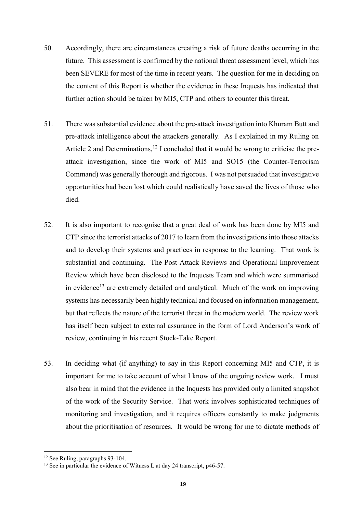- 50. Accordingly, there are circumstances creating a risk of future deaths occurring in the future. This assessment is confirmed by the national threat assessment level, which has been SEVERE for most of the time in recent years. The question for me in deciding on the content of this Report is whether the evidence in these Inquests has indicated that further action should be taken by MI5, CTP and others to counter this threat.
- 51. There was substantial evidence about the pre-attack investigation into Khuram Butt and pre-attack intelligence about the attackers generally. As I explained in my Ruling on Article 2 and Determinations,<sup>12</sup> I concluded that it would be wrong to criticise the preattack investigation, since the work of MI5 and SO15 (the Counter-Terrorism Command) was generally thorough and rigorous. I was not persuaded that investigative opportunities had been lost which could realistically have saved the lives of those who died.
- 52. It is also important to recognise that a great deal of work has been done by MI5 and CTP since the terrorist attacks of 2017 to learn from the investigations into those attacks and to develop their systems and practices in response to the learning. That work is substantial and continuing. The Post-Attack Reviews and Operational Improvement Review which have been disclosed to the Inquests Team and which were summarised in evidence<sup>13</sup> are extremely detailed and analytical. Much of the work on improving systems has necessarily been highly technical and focused on information management, but that reflects the nature of the terrorist threat in the modern world. The review work has itself been subject to external assurance in the form of Lord Anderson's work of review, continuing in his recent Stock-Take Report.
- 53. In deciding what (if anything) to say in this Report concerning MI5 and CTP, it is important for me to take account of what I know of the ongoing review work. I must also bear in mind that the evidence in the Inquests has provided only a limited snapshot of the work of the Security Service. That work involves sophisticated techniques of monitoring and investigation, and it requires officers constantly to make judgments about the prioritisation of resources. It would be wrong for me to dictate methods of

<sup>&</sup>lt;sup>12</sup> See Ruling, paragraphs 93-104.

<sup>&</sup>lt;sup>13</sup> See in particular the evidence of Witness L at day 24 transcript, p46-57.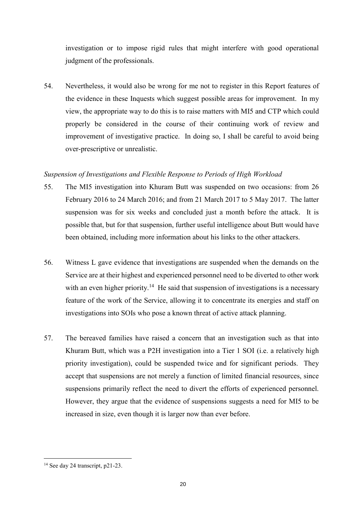investigation or to impose rigid rules that might interfere with good operational judgment of the professionals.

54. Nevertheless, it would also be wrong for me not to register in this Report features of the evidence in these Inquests which suggest possible areas for improvement. In my view, the appropriate way to do this is to raise matters with MI5 and CTP which could properly be considered in the course of their continuing work of review and improvement of investigative practice. In doing so, I shall be careful to avoid being over-prescriptive or unrealistic.

# *Suspension of Investigations and Flexible Response to Periods of High Workload*

- 55. The MI5 investigation into Khuram Butt was suspended on two occasions: from 26 February 2016 to 24 March 2016; and from 21 March 2017 to 5 May 2017. The latter suspension was for six weeks and concluded just a month before the attack. It is possible that, but for that suspension, further useful intelligence about Butt would have been obtained, including more information about his links to the other attackers.
- 56. Witness L gave evidence that investigations are suspended when the demands on the Service are at their highest and experienced personnel need to be diverted to other work with an even higher priority.<sup>14</sup> He said that suspension of investigations is a necessary feature of the work of the Service, allowing it to concentrate its energies and staff on investigations into SOIs who pose a known threat of active attack planning.
- 57. The bereaved families have raised a concern that an investigation such as that into Khuram Butt, which was a P2H investigation into a Tier 1 SOI (i.e. a relatively high priority investigation), could be suspended twice and for significant periods. They accept that suspensions are not merely a function of limited financial resources, since suspensions primarily reflect the need to divert the efforts of experienced personnel. However, they argue that the evidence of suspensions suggests a need for MI5 to be increased in size, even though it is larger now than ever before.

<sup>&</sup>lt;u>.</u> <sup>14</sup> See day 24 transcript, p21-23.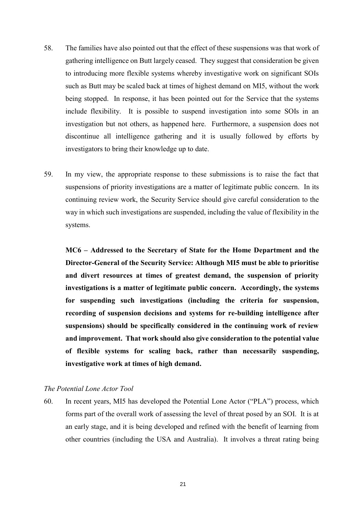- 58. The families have also pointed out that the effect of these suspensions was that work of gathering intelligence on Butt largely ceased. They suggest that consideration be given to introducing more flexible systems whereby investigative work on significant SOIs such as Butt may be scaled back at times of highest demand on MI5, without the work being stopped. In response, it has been pointed out for the Service that the systems include flexibility. It is possible to suspend investigation into some SOIs in an investigation but not others, as happened here. Furthermore, a suspension does not discontinue all intelligence gathering and it is usually followed by efforts by investigators to bring their knowledge up to date.
- 59. In my view, the appropriate response to these submissions is to raise the fact that suspensions of priority investigations are a matter of legitimate public concern. In its continuing review work, the Security Service should give careful consideration to the way in which such investigations are suspended, including the value of flexibility in the systems.

**MC6 – Addressed to the Secretary of State for the Home Department and the Director-General of the Security Service: Although MI5 must be able to prioritise and divert resources at times of greatest demand, the suspension of priority investigations is a matter of legitimate public concern. Accordingly, the systems for suspending such investigations (including the criteria for suspension, recording of suspension decisions and systems for re-building intelligence after suspensions) should be specifically considered in the continuing work of review and improvement. That work should also give consideration to the potential value of flexible systems for scaling back, rather than necessarily suspending, investigative work at times of high demand.** 

#### *The Potential Lone Actor Tool*

60. In recent years, MI5 has developed the Potential Lone Actor ("PLA") process, which forms part of the overall work of assessing the level of threat posed by an SOI. It is at an early stage, and it is being developed and refined with the benefit of learning from other countries (including the USA and Australia). It involves a threat rating being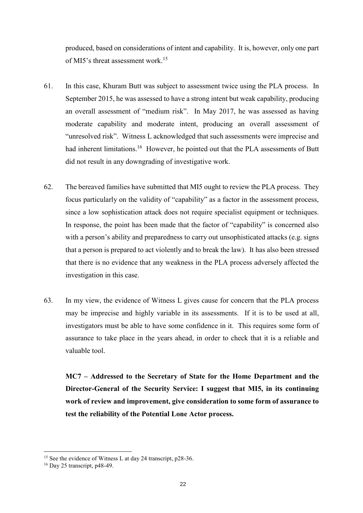produced, based on considerations of intent and capability. It is, however, only one part of MI5's threat assessment work.<sup>15</sup>

- 61. In this case, Khuram Butt was subject to assessment twice using the PLA process. In September 2015, he was assessed to have a strong intent but weak capability, producing an overall assessment of "medium risk". In May 2017, he was assessed as having moderate capability and moderate intent, producing an overall assessment of "unresolved risk". Witness L acknowledged that such assessments were imprecise and had inherent limitations.<sup>16</sup> However, he pointed out that the PLA assessments of Butt did not result in any downgrading of investigative work.
- 62. The bereaved families have submitted that MI5 ought to review the PLA process. They focus particularly on the validity of "capability" as a factor in the assessment process, since a low sophistication attack does not require specialist equipment or techniques. In response, the point has been made that the factor of "capability" is concerned also with a person's ability and preparedness to carry out unsophisticated attacks (e.g. signs that a person is prepared to act violently and to break the law). It has also been stressed that there is no evidence that any weakness in the PLA process adversely affected the investigation in this case.
- 63. In my view, the evidence of Witness L gives cause for concern that the PLA process may be imprecise and highly variable in its assessments. If it is to be used at all, investigators must be able to have some confidence in it. This requires some form of assurance to take place in the years ahead, in order to check that it is a reliable and valuable tool.

**MC7 – Addressed to the Secretary of State for the Home Department and the Director-General of the Security Service: I suggest that MI5, in its continuing work of review and improvement, give consideration to some form of assurance to test the reliability of the Potential Lone Actor process.**

<sup>&</sup>lt;sup>15</sup> See the evidence of Witness L at day 24 transcript,  $p28-36$ .

<sup>16</sup> Day 25 transcript, p48-49.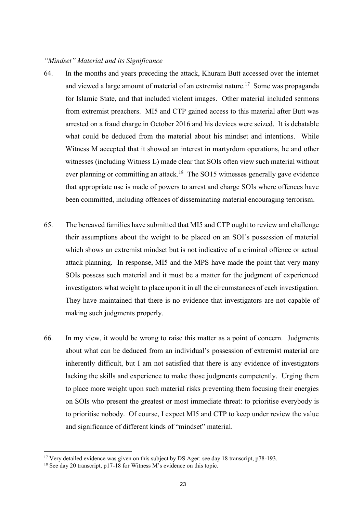#### *"Mindset" Material and its Significance*

- 64. In the months and years preceding the attack, Khuram Butt accessed over the internet and viewed a large amount of material of an extremist nature.<sup>17</sup> Some was propaganda for Islamic State, and that included violent images. Other material included sermons from extremist preachers. MI5 and CTP gained access to this material after Butt was arrested on a fraud charge in October 2016 and his devices were seized. It is debatable what could be deduced from the material about his mindset and intentions. While Witness M accepted that it showed an interest in martyrdom operations, he and other witnesses (including Witness L) made clear that SOIs often view such material without ever planning or committing an attack.<sup>18</sup> The SO15 witnesses generally gave evidence that appropriate use is made of powers to arrest and charge SOIs where offences have been committed, including offences of disseminating material encouraging terrorism.
- 65. The bereaved families have submitted that MI5 and CTP ought to review and challenge their assumptions about the weight to be placed on an SOI's possession of material which shows an extremist mindset but is not indicative of a criminal offence or actual attack planning. In response, MI5 and the MPS have made the point that very many SOIs possess such material and it must be a matter for the judgment of experienced investigators what weight to place upon it in all the circumstances of each investigation. They have maintained that there is no evidence that investigators are not capable of making such judgments properly.
- 66. In my view, it would be wrong to raise this matter as a point of concern. Judgments about what can be deduced from an individual's possession of extremist material are inherently difficult, but I am not satisfied that there is any evidence of investigators lacking the skills and experience to make those judgments competently. Urging them to place more weight upon such material risks preventing them focusing their energies on SOIs who present the greatest or most immediate threat: to prioritise everybody is to prioritise nobody. Of course, I expect MI5 and CTP to keep under review the value and significance of different kinds of "mindset" material.

<sup>&</sup>lt;sup>17</sup> Very detailed evidence was given on this subject by DS Ager: see day 18 transcript,  $p78-193$ .

<sup>&</sup>lt;sup>18</sup> See day 20 transcript, p17-18 for Witness M's evidence on this topic.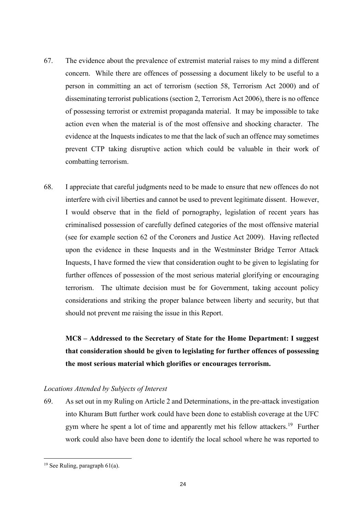- 67. The evidence about the prevalence of extremist material raises to my mind a different concern. While there are offences of possessing a document likely to be useful to a person in committing an act of terrorism (section 58, Terrorism Act 2000) and of disseminating terrorist publications (section 2, Terrorism Act 2006), there is no offence of possessing terrorist or extremist propaganda material. It may be impossible to take action even when the material is of the most offensive and shocking character. The evidence at the Inquests indicates to me that the lack of such an offence may sometimes prevent CTP taking disruptive action which could be valuable in their work of combatting terrorism.
- 68. I appreciate that careful judgments need to be made to ensure that new offences do not interfere with civil liberties and cannot be used to prevent legitimate dissent. However, I would observe that in the field of pornography, legislation of recent years has criminalised possession of carefully defined categories of the most offensive material (see for example section 62 of the Coroners and Justice Act 2009). Having reflected upon the evidence in these Inquests and in the Westminster Bridge Terror Attack Inquests, I have formed the view that consideration ought to be given to legislating for further offences of possession of the most serious material glorifying or encouraging terrorism. The ultimate decision must be for Government, taking account policy considerations and striking the proper balance between liberty and security, but that should not prevent me raising the issue in this Report.

**MC8 – Addressed to the Secretary of State for the Home Department: I suggest that consideration should be given to legislating for further offences of possessing the most serious material which glorifies or encourages terrorism.** 

#### *Locations Attended by Subjects of Interest*

69. As set out in my Ruling on Article 2 and Determinations, in the pre-attack investigation into Khuram Butt further work could have been done to establish coverage at the UFC gym where he spent a lot of time and apparently met his fellow attackers.<sup>19</sup> Further work could also have been done to identify the local school where he was reported to

<sup>&</sup>lt;sup>19</sup> See Ruling, paragraph  $61(a)$ .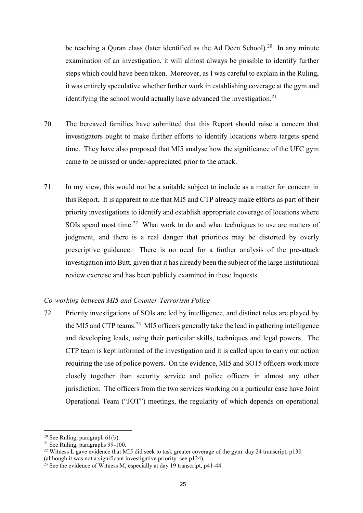be teaching a Quran class (later identified as the Ad Deen School).<sup>20</sup> In any minute examination of an investigation, it will almost always be possible to identify further steps which could have been taken. Moreover, as I was careful to explain in the Ruling, it was entirely speculative whether further work in establishing coverage at the gym and identifying the school would actually have advanced the investigation.<sup>21</sup>

- 70. The bereaved families have submitted that this Report should raise a concern that investigators ought to make further efforts to identify locations where targets spend time. They have also proposed that MI5 analyse how the significance of the UFC gym came to be missed or under-appreciated prior to the attack.
- 71. In my view, this would not be a suitable subject to include as a matter for concern in this Report. It is apparent to me that MI5 and CTP already make efforts as part of their priority investigations to identify and establish appropriate coverage of locations where SOIs spend most time.<sup>22</sup> What work to do and what techniques to use are matters of judgment, and there is a real danger that priorities may be distorted by overly prescriptive guidance. There is no need for a further analysis of the pre-attack investigation into Butt, given that it has already been the subject of the large institutional review exercise and has been publicly examined in these Inquests.

#### *Co-working between MI5 and Counter-Terrorism Police*

72. Priority investigations of SOIs are led by intelligence, and distinct roles are played by the MI5 and CTP teams.<sup>23</sup> MI5 officers generally take the lead in gathering intelligence and developing leads, using their particular skills, techniques and legal powers. The CTP team is kept informed of the investigation and it is called upon to carry out action requiring the use of police powers. On the evidence, MI5 and SO15 officers work more closely together than security service and police officers in almost any other jurisdiction. The officers from the two services working on a particular case have Joint Operational Team ("JOT") meetings, the regularity of which depends on operational

 $20$  See Ruling, paragraph 61(b).

<sup>&</sup>lt;sup>21</sup> See Ruling, paragraphs  $99-100$ .

<sup>&</sup>lt;sup>22</sup> Witness L gave evidence that MI5 did seek to task greater coverage of the gym: day 24 transcript, p130 (although it was not a significant investigative priority: see p124).

 $^{23}$  See the evidence of Witness M, especially at day 19 transcript, p41-44.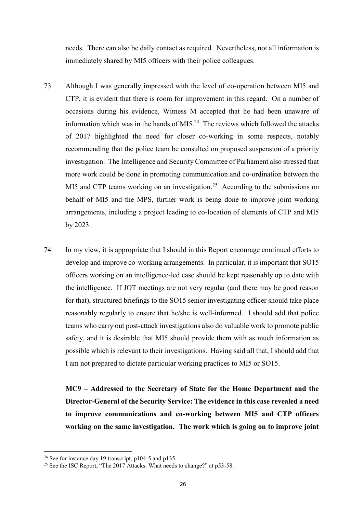needs. There can also be daily contact as required. Nevertheless, not all information is immediately shared by MI5 officers with their police colleagues.

- 73. Although I was generally impressed with the level of co-operation between MI5 and CTP, it is evident that there is room for improvement in this regard. On a number of occasions during his evidence, Witness M accepted that he had been unaware of information which was in the hands of MI5. $^{24}$  The reviews which followed the attacks of 2017 highlighted the need for closer co-working in some respects, notably recommending that the police team be consulted on proposed suspension of a priority investigation. The Intelligence and Security Committee of Parliament also stressed that more work could be done in promoting communication and co-ordination between the MI5 and CTP teams working on an investigation.<sup>25</sup> According to the submissions on behalf of MI5 and the MPS, further work is being done to improve joint working arrangements, including a project leading to co-location of elements of CTP and MI5 by 2023.
- 74. In my view, it is appropriate that I should in this Report encourage continued efforts to develop and improve co-working arrangements. In particular, it is important that SO15 officers working on an intelligence-led case should be kept reasonably up to date with the intelligence. If JOT meetings are not very regular (and there may be good reason for that), structured briefings to the SO15 senior investigating officer should take place reasonably regularly to ensure that he/she is well-informed. I should add that police teams who carry out post-attack investigations also do valuable work to promote public safety, and it is desirable that MI5 should provide them with as much information as possible which is relevant to their investigations. Having said all that, I should add that I am not prepared to dictate particular working practices to MI5 or SO15.

**MC9 – Addressed to the Secretary of State for the Home Department and the Director-General of the Security Service: The evidence in this case revealed a need to improve communications and co-working between MI5 and CTP officers working on the same investigation. The work which is going on to improve joint** 

<sup>&</sup>lt;sup>24</sup> See for instance day 19 transcript, p104-5 and p135.

<sup>&</sup>lt;sup>25</sup> See the ISC Report, "The 2017 Attacks: What needs to change?" at p53-58.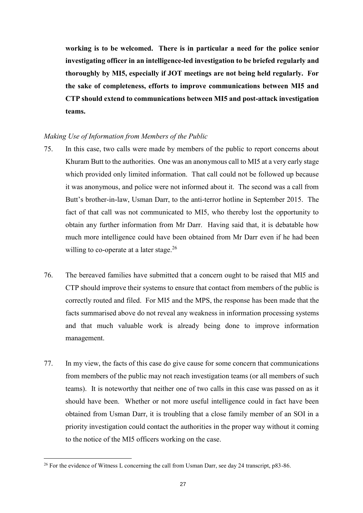**working is to be welcomed. There is in particular a need for the police senior investigating officer in an intelligence-led investigation to be briefed regularly and thoroughly by MI5, especially if JOT meetings are not being held regularly. For the sake of completeness, efforts to improve communications between MI5 and CTP should extend to communications between MI5 and post-attack investigation teams.**

### *Making Use of Information from Members of the Public*

- 75. In this case, two calls were made by members of the public to report concerns about Khuram Butt to the authorities. One was an anonymous call to MI5 at a very early stage which provided only limited information. That call could not be followed up because it was anonymous, and police were not informed about it. The second was a call from Butt's brother-in-law, Usman Darr, to the anti-terror hotline in September 2015. The fact of that call was not communicated to MI5, who thereby lost the opportunity to obtain any further information from Mr Darr. Having said that, it is debatable how much more intelligence could have been obtained from Mr Darr even if he had been willing to co-operate at a later stage.<sup>26</sup>
- 76. The bereaved families have submitted that a concern ought to be raised that MI5 and CTP should improve their systems to ensure that contact from members of the public is correctly routed and filed. For MI5 and the MPS, the response has been made that the facts summarised above do not reveal any weakness in information processing systems and that much valuable work is already being done to improve information management.
- 77. In my view, the facts of this case do give cause for some concern that communications from members of the public may not reach investigation teams (or all members of such teams). It is noteworthy that neither one of two calls in this case was passed on as it should have been. Whether or not more useful intelligence could in fact have been obtained from Usman Darr, it is troubling that a close family member of an SOI in a priority investigation could contact the authorities in the proper way without it coming to the notice of the MI5 officers working on the case.

<sup>&</sup>lt;sup>26</sup> For the evidence of Witness L concerning the call from Usman Darr, see day 24 transcript, p83-86.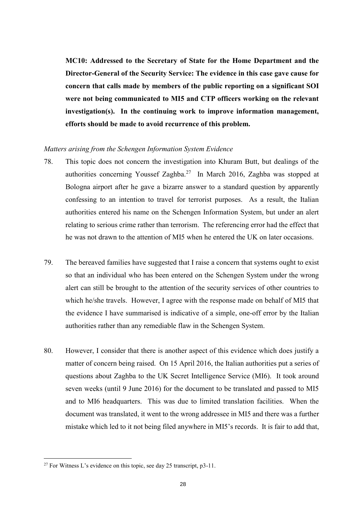**MC10: Addressed to the Secretary of State for the Home Department and the Director-General of the Security Service: The evidence in this case gave cause for concern that calls made by members of the public reporting on a significant SOI were not being communicated to MI5 and CTP officers working on the relevant investigation(s). In the continuing work to improve information management, efforts should be made to avoid recurrence of this problem.**

#### *Matters arising from the Schengen Information System Evidence*

- 78. This topic does not concern the investigation into Khuram Butt, but dealings of the authorities concerning Youssef Zaghba.<sup>27</sup> In March 2016, Zaghba was stopped at Bologna airport after he gave a bizarre answer to a standard question by apparently confessing to an intention to travel for terrorist purposes. As a result, the Italian authorities entered his name on the Schengen Information System, but under an alert relating to serious crime rather than terrorism. The referencing error had the effect that he was not drawn to the attention of MI5 when he entered the UK on later occasions.
- 79. The bereaved families have suggested that I raise a concern that systems ought to exist so that an individual who has been entered on the Schengen System under the wrong alert can still be brought to the attention of the security services of other countries to which he/she travels. However, I agree with the response made on behalf of MI5 that the evidence I have summarised is indicative of a simple, one-off error by the Italian authorities rather than any remediable flaw in the Schengen System.
- 80. However, I consider that there is another aspect of this evidence which does justify a matter of concern being raised. On 15 April 2016, the Italian authorities put a series of questions about Zaghba to the UK Secret Intelligence Service (MI6). It took around seven weeks (until 9 June 2016) for the document to be translated and passed to MI5 and to MI6 headquarters. This was due to limited translation facilities. When the document was translated, it went to the wrong addressee in MI5 and there was a further mistake which led to it not being filed anywhere in MI5's records. It is fair to add that,

<sup>&</sup>lt;sup>27</sup> For Witness L's evidence on this topic, see day 25 transcript,  $p3-11$ .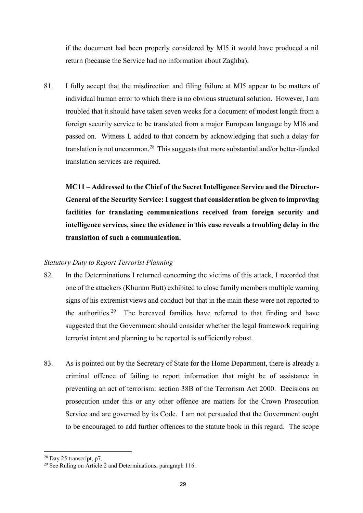if the document had been properly considered by MI5 it would have produced a nil return (because the Service had no information about Zaghba).

81. I fully accept that the misdirection and filing failure at MI5 appear to be matters of individual human error to which there is no obvious structural solution. However, I am troubled that it should have taken seven weeks for a document of modest length from a foreign security service to be translated from a major European language by MI6 and passed on. Witness L added to that concern by acknowledging that such a delay for translation is not uncommon.<sup>28</sup> This suggests that more substantial and/or better-funded translation services are required.

**MC11 – Addressed to the Chief of the Secret Intelligence Service and the Director-General of the Security Service: I suggest that consideration be given to improving facilities for translating communications received from foreign security and intelligence services, since the evidence in this case reveals a troubling delay in the translation of such a communication.** 

# *Statutory Duty to Report Terrorist Planning*

- 82. In the Determinations I returned concerning the victims of this attack, I recorded that one of the attackers (Khuram Butt) exhibited to close family members multiple warning signs of his extremist views and conduct but that in the main these were not reported to the authorities.<sup>29</sup> The bereaved families have referred to that finding and have suggested that the Government should consider whether the legal framework requiring terrorist intent and planning to be reported is sufficiently robust.
- 83. As is pointed out by the Secretary of State for the Home Department, there is already a criminal offence of failing to report information that might be of assistance in preventing an act of terrorism: section 38B of the Terrorism Act 2000. Decisions on prosecution under this or any other offence are matters for the Crown Prosecution Service and are governed by its Code. I am not persuaded that the Government ought to be encouraged to add further offences to the statute book in this regard. The scope

<sup>&</sup>lt;u>.</u> <sup>28</sup> Day 25 transcript, p7.

<sup>&</sup>lt;sup>29</sup> See Ruling on Article 2 and Determinations, paragraph 116.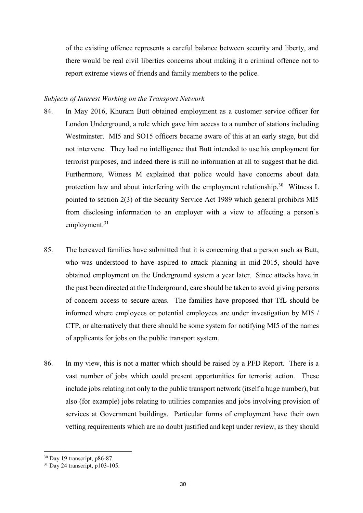of the existing offence represents a careful balance between security and liberty, and there would be real civil liberties concerns about making it a criminal offence not to report extreme views of friends and family members to the police.

#### *Subjects of Interest Working on the Transport Network*

- 84. In May 2016, Khuram Butt obtained employment as a customer service officer for London Underground, a role which gave him access to a number of stations including Westminster. MI5 and SO15 officers became aware of this at an early stage, but did not intervene. They had no intelligence that Butt intended to use his employment for terrorist purposes, and indeed there is still no information at all to suggest that he did. Furthermore, Witness M explained that police would have concerns about data protection law and about interfering with the employment relationship.<sup>30</sup> Witness L pointed to section 2(3) of the Security Service Act 1989 which general prohibits MI5 from disclosing information to an employer with a view to affecting a person's employment.<sup>31</sup>
- 85. The bereaved families have submitted that it is concerning that a person such as Butt, who was understood to have aspired to attack planning in mid-2015, should have obtained employment on the Underground system a year later. Since attacks have in the past been directed at the Underground, care should be taken to avoid giving persons of concern access to secure areas. The families have proposed that TfL should be informed where employees or potential employees are under investigation by MI5 / CTP, or alternatively that there should be some system for notifying MI5 of the names of applicants for jobs on the public transport system.
- 86. In my view, this is not a matter which should be raised by a PFD Report. There is a vast number of jobs which could present opportunities for terrorist action. These include jobs relating not only to the public transport network (itself a huge number), but also (for example) jobs relating to utilities companies and jobs involving provision of services at Government buildings. Particular forms of employment have their own vetting requirements which are no doubt justified and kept under review, as they should

 $30$  Day 19 transcript, p86-87.

<sup>31</sup> Day 24 transcript, p103-105.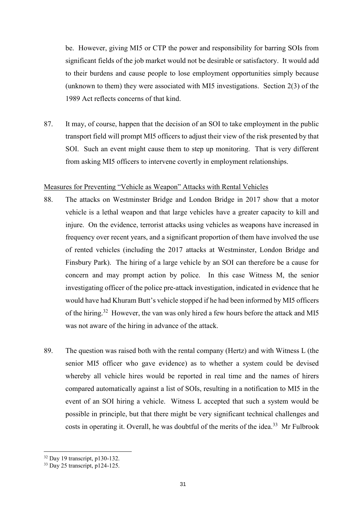be. However, giving MI5 or CTP the power and responsibility for barring SOIs from significant fields of the job market would not be desirable or satisfactory. It would add to their burdens and cause people to lose employment opportunities simply because (unknown to them) they were associated with MI5 investigations. Section 2(3) of the 1989 Act reflects concerns of that kind.

87. It may, of course, happen that the decision of an SOI to take employment in the public transport field will prompt MI5 officers to adjust their view of the risk presented by that SOI. Such an event might cause them to step up monitoring. That is very different from asking MI5 officers to intervene covertly in employment relationships.

#### Measures for Preventing "Vehicle as Weapon" Attacks with Rental Vehicles

- 88. The attacks on Westminster Bridge and London Bridge in 2017 show that a motor vehicle is a lethal weapon and that large vehicles have a greater capacity to kill and injure. On the evidence, terrorist attacks using vehicles as weapons have increased in frequency over recent years, and a significant proportion of them have involved the use of rented vehicles (including the 2017 attacks at Westminster, London Bridge and Finsbury Park). The hiring of a large vehicle by an SOI can therefore be a cause for concern and may prompt action by police. In this case Witness M, the senior investigating officer of the police pre-attack investigation, indicated in evidence that he would have had Khuram Butt's vehicle stopped if he had been informed by MI5 officers of the hiring.<sup>32</sup> However, the van was only hired a few hours before the attack and MI5 was not aware of the hiring in advance of the attack.
- 89. The question was raised both with the rental company (Hertz) and with Witness L (the senior MI5 officer who gave evidence) as to whether a system could be devised whereby all vehicle hires would be reported in real time and the names of hirers compared automatically against a list of SOIs, resulting in a notification to MI5 in the event of an SOI hiring a vehicle. Witness L accepted that such a system would be possible in principle, but that there might be very significant technical challenges and costs in operating it. Overall, he was doubtful of the merits of the idea.<sup>33</sup> Mr Fulbrook

 $32$  Day 19 transcript, p130-132.

<sup>33</sup> Day 25 transcript, p124-125.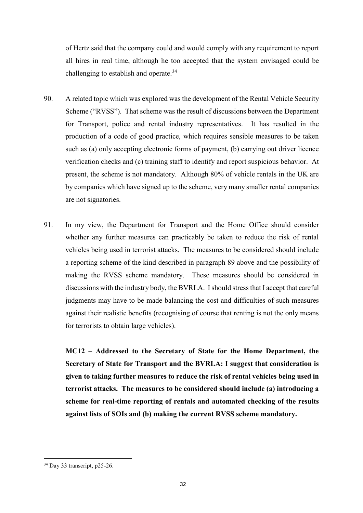of Hertz said that the company could and would comply with any requirement to report all hires in real time, although he too accepted that the system envisaged could be challenging to establish and operate. $34$ 

- 90. A related topic which was explored was the development of the Rental Vehicle Security Scheme ("RVSS"). That scheme was the result of discussions between the Department for Transport, police and rental industry representatives. It has resulted in the production of a code of good practice, which requires sensible measures to be taken such as (a) only accepting electronic forms of payment, (b) carrying out driver licence verification checks and (c) training staff to identify and report suspicious behavior. At present, the scheme is not mandatory. Although 80% of vehicle rentals in the UK are by companies which have signed up to the scheme, very many smaller rental companies are not signatories.
- 91. In my view, the Department for Transport and the Home Office should consider whether any further measures can practicably be taken to reduce the risk of rental vehicles being used in terrorist attacks. The measures to be considered should include a reporting scheme of the kind described in paragraph 89 above and the possibility of making the RVSS scheme mandatory. These measures should be considered in discussions with the industry body, the BVRLA. I should stress that I accept that careful judgments may have to be made balancing the cost and difficulties of such measures against their realistic benefits (recognising of course that renting is not the only means for terrorists to obtain large vehicles).

**MC12 – Addressed to the Secretary of State for the Home Department, the Secretary of State for Transport and the BVRLA: I suggest that consideration is given to taking further measures to reduce the risk of rental vehicles being used in terrorist attacks. The measures to be considered should include (a) introducing a scheme for real-time reporting of rentals and automated checking of the results against lists of SOIs and (b) making the current RVSS scheme mandatory.** 

<sup>34</sup> Day 33 transcript, p25-26.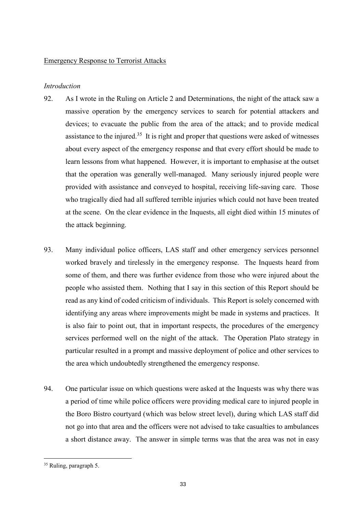#### Emergency Response to Terrorist Attacks

### *Introduction*

- 92. As I wrote in the Ruling on Article 2 and Determinations, the night of the attack saw a massive operation by the emergency services to search for potential attackers and devices; to evacuate the public from the area of the attack; and to provide medical assistance to the injured.<sup>35</sup> It is right and proper that questions were asked of witnesses about every aspect of the emergency response and that every effort should be made to learn lessons from what happened. However, it is important to emphasise at the outset that the operation was generally well-managed. Many seriously injured people were provided with assistance and conveyed to hospital, receiving life-saving care. Those who tragically died had all suffered terrible injuries which could not have been treated at the scene. On the clear evidence in the Inquests, all eight died within 15 minutes of the attack beginning.
- 93. Many individual police officers, LAS staff and other emergency services personnel worked bravely and tirelessly in the emergency response. The Inquests heard from some of them, and there was further evidence from those who were injured about the people who assisted them. Nothing that I say in this section of this Report should be read as any kind of coded criticism of individuals. This Report is solely concerned with identifying any areas where improvements might be made in systems and practices. It is also fair to point out, that in important respects, the procedures of the emergency services performed well on the night of the attack. The Operation Plato strategy in particular resulted in a prompt and massive deployment of police and other services to the area which undoubtedly strengthened the emergency response.
- 94. One particular issue on which questions were asked at the Inquests was why there was a period of time while police officers were providing medical care to injured people in the Boro Bistro courtyard (which was below street level), during which LAS staff did not go into that area and the officers were not advised to take casualties to ambulances a short distance away. The answer in simple terms was that the area was not in easy

<sup>&</sup>lt;sup>35</sup> Ruling, paragraph 5.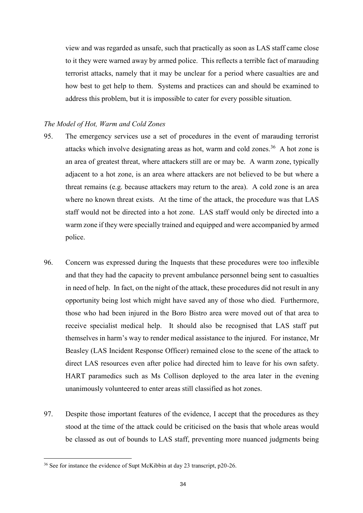view and was regarded as unsafe, such that practically as soon as LAS staff came close to it they were warned away by armed police. This reflects a terrible fact of marauding terrorist attacks, namely that it may be unclear for a period where casualties are and how best to get help to them. Systems and practices can and should be examined to address this problem, but it is impossible to cater for every possible situation.

### *The Model of Hot, Warm and Cold Zones*

- 95. The emergency services use a set of procedures in the event of marauding terrorist attacks which involve designating areas as hot, warm and cold zones.<sup>36</sup> A hot zone is an area of greatest threat, where attackers still are or may be. A warm zone, typically adjacent to a hot zone, is an area where attackers are not believed to be but where a threat remains (e.g. because attackers may return to the area). A cold zone is an area where no known threat exists. At the time of the attack, the procedure was that LAS staff would not be directed into a hot zone. LAS staff would only be directed into a warm zone if they were specially trained and equipped and were accompanied by armed police.
- 96. Concern was expressed during the Inquests that these procedures were too inflexible and that they had the capacity to prevent ambulance personnel being sent to casualties in need of help. In fact, on the night of the attack, these procedures did not result in any opportunity being lost which might have saved any of those who died. Furthermore, those who had been injured in the Boro Bistro area were moved out of that area to receive specialist medical help. It should also be recognised that LAS staff put themselves in harm's way to render medical assistance to the injured. For instance, Mr Beasley (LAS Incident Response Officer) remained close to the scene of the attack to direct LAS resources even after police had directed him to leave for his own safety. HART paramedics such as Ms Collison deployed to the area later in the evening unanimously volunteered to enter areas still classified as hot zones.
- 97. Despite those important features of the evidence, I accept that the procedures as they stood at the time of the attack could be criticised on the basis that whole areas would be classed as out of bounds to LAS staff, preventing more nuanced judgments being

<sup>&</sup>lt;sup>36</sup> See for instance the evidence of Supt McKibbin at day 23 transcript, p20-26.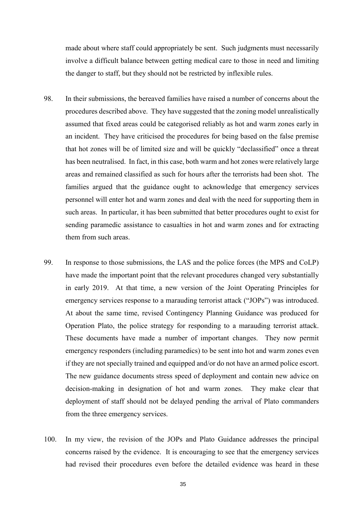made about where staff could appropriately be sent. Such judgments must necessarily involve a difficult balance between getting medical care to those in need and limiting the danger to staff, but they should not be restricted by inflexible rules.

- 98. In their submissions, the bereaved families have raised a number of concerns about the procedures described above. They have suggested that the zoning model unrealistically assumed that fixed areas could be categorised reliably as hot and warm zones early in an incident. They have criticised the procedures for being based on the false premise that hot zones will be of limited size and will be quickly "declassified" once a threat has been neutralised. In fact, in this case, both warm and hot zones were relatively large areas and remained classified as such for hours after the terrorists had been shot. The families argued that the guidance ought to acknowledge that emergency services personnel will enter hot and warm zones and deal with the need for supporting them in such areas. In particular, it has been submitted that better procedures ought to exist for sending paramedic assistance to casualties in hot and warm zones and for extracting them from such areas.
- 99. In response to those submissions, the LAS and the police forces (the MPS and CoLP) have made the important point that the relevant procedures changed very substantially in early 2019. At that time, a new version of the Joint Operating Principles for emergency services response to a marauding terrorist attack ("JOPs") was introduced. At about the same time, revised Contingency Planning Guidance was produced for Operation Plato, the police strategy for responding to a marauding terrorist attack. These documents have made a number of important changes. They now permit emergency responders (including paramedics) to be sent into hot and warm zones even if they are not specially trained and equipped and/or do not have an armed police escort. The new guidance documents stress speed of deployment and contain new advice on decision-making in designation of hot and warm zones. They make clear that deployment of staff should not be delayed pending the arrival of Plato commanders from the three emergency services.
- 100. In my view, the revision of the JOPs and Plato Guidance addresses the principal concerns raised by the evidence. It is encouraging to see that the emergency services had revised their procedures even before the detailed evidence was heard in these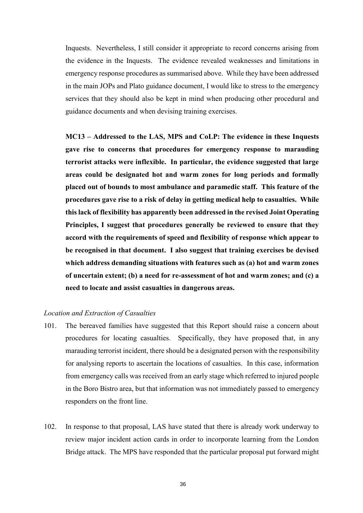Inquests. Nevertheless, I still consider it appropriate to record concerns arising from the evidence in the Inquests. The evidence revealed weaknesses and limitations in emergency response procedures as summarised above. While they have been addressed in the main JOPs and Plato guidance document, I would like to stress to the emergency services that they should also be kept in mind when producing other procedural and guidance documents and when devising training exercises.

**MC13 – Addressed to the LAS, MPS and CoLP: The evidence in these Inquests gave rise to concerns that procedures for emergency response to marauding terrorist attacks were inflexible. In particular, the evidence suggested that large areas could be designated hot and warm zones for long periods and formally placed out of bounds to most ambulance and paramedic staff. This feature of the procedures gave rise to a risk of delay in getting medical help to casualties. While this lack of flexibility has apparently been addressed in the revised Joint Operating Principles, I suggest that procedures generally be reviewed to ensure that they accord with the requirements of speed and flexibility of response which appear to be recognised in that document. I also suggest that training exercises be devised which address demanding situations with features such as (a) hot and warm zones of uncertain extent; (b) a need for re-assessment of hot and warm zones; and (c) a need to locate and assist casualties in dangerous areas.** 

### *Location and Extraction of Casualties*

- 101. The bereaved families have suggested that this Report should raise a concern about procedures for locating casualties. Specifically, they have proposed that, in any marauding terrorist incident, there should be a designated person with the responsibility for analysing reports to ascertain the locations of casualties. In this case, information from emergency calls was received from an early stage which referred to injured people in the Boro Bistro area, but that information was not immediately passed to emergency responders on the front line.
- 102. In response to that proposal, LAS have stated that there is already work underway to review major incident action cards in order to incorporate learning from the London Bridge attack. The MPS have responded that the particular proposal put forward might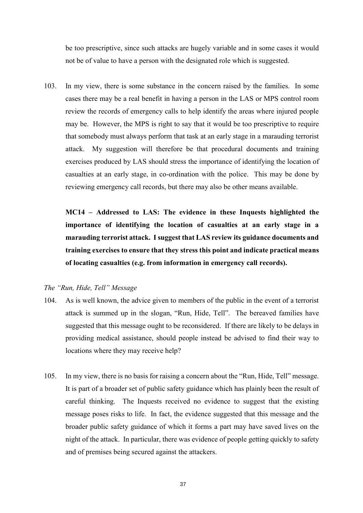be too prescriptive, since such attacks are hugely variable and in some cases it would not be of value to have a person with the designated role which is suggested.

103. In my view, there is some substance in the concern raised by the families. In some cases there may be a real benefit in having a person in the LAS or MPS control room review the records of emergency calls to help identify the areas where injured people may be. However, the MPS is right to say that it would be too prescriptive to require that somebody must always perform that task at an early stage in a marauding terrorist attack. My suggestion will therefore be that procedural documents and training exercises produced by LAS should stress the importance of identifying the location of casualties at an early stage, in co-ordination with the police. This may be done by reviewing emergency call records, but there may also be other means available.

**MC14 – Addressed to LAS: The evidence in these Inquests highlighted the importance of identifying the location of casualties at an early stage in a marauding terrorist attack. I suggest that LAS review its guidance documents and training exercises to ensure that they stress this point and indicate practical means of locating casualties (e.g. from information in emergency call records).** 

#### *The "Run, Hide, Tell" Message*

- 104. As is well known, the advice given to members of the public in the event of a terrorist attack is summed up in the slogan, "Run, Hide, Tell". The bereaved families have suggested that this message ought to be reconsidered. If there are likely to be delays in providing medical assistance, should people instead be advised to find their way to locations where they may receive help?
- 105. In my view, there is no basis for raising a concern about the "Run, Hide, Tell" message. It is part of a broader set of public safety guidance which has plainly been the result of careful thinking. The Inquests received no evidence to suggest that the existing message poses risks to life. In fact, the evidence suggested that this message and the broader public safety guidance of which it forms a part may have saved lives on the night of the attack. In particular, there was evidence of people getting quickly to safety and of premises being secured against the attackers.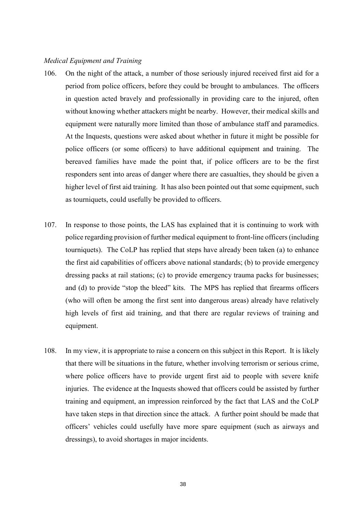#### *Medical Equipment and Training*

- 106. On the night of the attack, a number of those seriously injured received first aid for a period from police officers, before they could be brought to ambulances. The officers in question acted bravely and professionally in providing care to the injured, often without knowing whether attackers might be nearby. However, their medical skills and equipment were naturally more limited than those of ambulance staff and paramedics. At the Inquests, questions were asked about whether in future it might be possible for police officers (or some officers) to have additional equipment and training. The bereaved families have made the point that, if police officers are to be the first responders sent into areas of danger where there are casualties, they should be given a higher level of first aid training. It has also been pointed out that some equipment, such as tourniquets, could usefully be provided to officers.
- 107. In response to those points, the LAS has explained that it is continuing to work with police regarding provision of further medical equipment to front-line officers (including tourniquets). The CoLP has replied that steps have already been taken (a) to enhance the first aid capabilities of officers above national standards; (b) to provide emergency dressing packs at rail stations; (c) to provide emergency trauma packs for businesses; and (d) to provide "stop the bleed" kits. The MPS has replied that firearms officers (who will often be among the first sent into dangerous areas) already have relatively high levels of first aid training, and that there are regular reviews of training and equipment.
- 108. In my view, it is appropriate to raise a concern on this subject in this Report. It is likely that there will be situations in the future, whether involving terrorism or serious crime, where police officers have to provide urgent first aid to people with severe knife injuries. The evidence at the Inquests showed that officers could be assisted by further training and equipment, an impression reinforced by the fact that LAS and the CoLP have taken steps in that direction since the attack. A further point should be made that officers' vehicles could usefully have more spare equipment (such as airways and dressings), to avoid shortages in major incidents.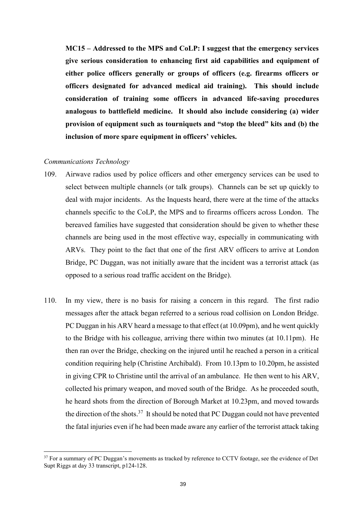**MC15 – Addressed to the MPS and CoLP: I suggest that the emergency services give serious consideration to enhancing first aid capabilities and equipment of either police officers generally or groups of officers (e.g. firearms officers or officers designated for advanced medical aid training). This should include consideration of training some officers in advanced life-saving procedures analogous to battlefield medicine. It should also include considering (a) wider provision of equipment such as tourniquets and "stop the bleed" kits and (b) the inclusion of more spare equipment in officers' vehicles.** 

#### *Communications Technology*

- 109. Airwave radios used by police officers and other emergency services can be used to select between multiple channels (or talk groups). Channels can be set up quickly to deal with major incidents. As the Inquests heard, there were at the time of the attacks channels specific to the CoLP, the MPS and to firearms officers across London. The bereaved families have suggested that consideration should be given to whether these channels are being used in the most effective way, especially in communicating with ARVs. They point to the fact that one of the first ARV officers to arrive at London Bridge, PC Duggan, was not initially aware that the incident was a terrorist attack (as opposed to a serious road traffic accident on the Bridge).
- 110. In my view, there is no basis for raising a concern in this regard. The first radio messages after the attack began referred to a serious road collision on London Bridge. PC Duggan in his ARV heard a message to that effect (at 10.09pm), and he went quickly to the Bridge with his colleague, arriving there within two minutes (at 10.11pm). He then ran over the Bridge, checking on the injured until he reached a person in a critical condition requiring help (Christine Archibald). From 10.13pm to 10.20pm, he assisted in giving CPR to Christine until the arrival of an ambulance. He then went to his ARV, collected his primary weapon, and moved south of the Bridge. As he proceeded south, he heard shots from the direction of Borough Market at 10.23pm, and moved towards the direction of the shots.<sup>37</sup> It should be noted that PC Duggan could not have prevented the fatal injuries even if he had been made aware any earlier of the terrorist attack taking

<sup>&</sup>lt;sup>37</sup> For a summary of PC Duggan's movements as tracked by reference to CCTV footage, see the evidence of Det Supt Riggs at day 33 transcript, p124-128.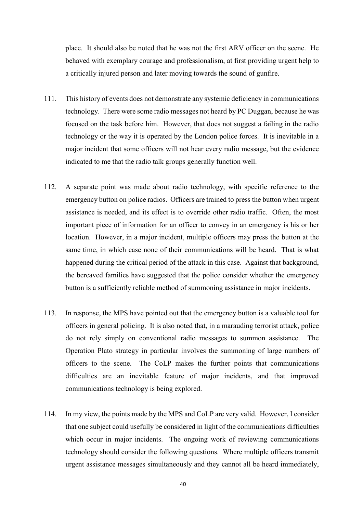place. It should also be noted that he was not the first ARV officer on the scene. He behaved with exemplary courage and professionalism, at first providing urgent help to a critically injured person and later moving towards the sound of gunfire.

- 111. This history of events does not demonstrate any systemic deficiency in communications technology. There were some radio messages not heard by PC Duggan, because he was focused on the task before him. However, that does not suggest a failing in the radio technology or the way it is operated by the London police forces. It is inevitable in a major incident that some officers will not hear every radio message, but the evidence indicated to me that the radio talk groups generally function well.
- 112. A separate point was made about radio technology, with specific reference to the emergency button on police radios. Officers are trained to press the button when urgent assistance is needed, and its effect is to override other radio traffic. Often, the most important piece of information for an officer to convey in an emergency is his or her location. However, in a major incident, multiple officers may press the button at the same time, in which case none of their communications will be heard. That is what happened during the critical period of the attack in this case. Against that background, the bereaved families have suggested that the police consider whether the emergency button is a sufficiently reliable method of summoning assistance in major incidents.
- 113. In response, the MPS have pointed out that the emergency button is a valuable tool for officers in general policing. It is also noted that, in a marauding terrorist attack, police do not rely simply on conventional radio messages to summon assistance. The Operation Plato strategy in particular involves the summoning of large numbers of officers to the scene. The CoLP makes the further points that communications difficulties are an inevitable feature of major incidents, and that improved communications technology is being explored.
- 114. In my view, the points made by the MPS and CoLP are very valid. However, I consider that one subject could usefully be considered in light of the communications difficulties which occur in major incidents. The ongoing work of reviewing communications technology should consider the following questions. Where multiple officers transmit urgent assistance messages simultaneously and they cannot all be heard immediately,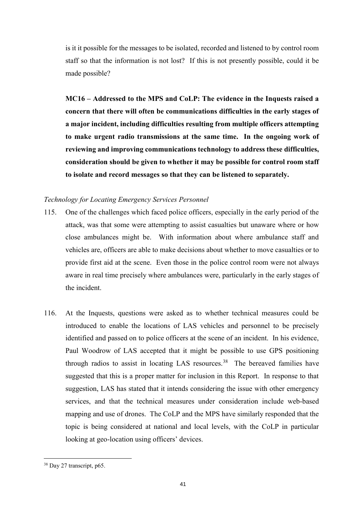is it it possible for the messages to be isolated, recorded and listened to by control room staff so that the information is not lost? If this is not presently possible, could it be made possible?

**MC16 – Addressed to the MPS and CoLP: The evidence in the Inquests raised a concern that there will often be communications difficulties in the early stages of a major incident, including difficulties resulting from multiple officers attempting to make urgent radio transmissions at the same time. In the ongoing work of reviewing and improving communications technology to address these difficulties, consideration should be given to whether it may be possible for control room staff to isolate and record messages so that they can be listened to separately.** 

### *Technology for Locating Emergency Services Personnel*

- 115. One of the challenges which faced police officers, especially in the early period of the attack, was that some were attempting to assist casualties but unaware where or how close ambulances might be. With information about where ambulance staff and vehicles are, officers are able to make decisions about whether to move casualties or to provide first aid at the scene. Even those in the police control room were not always aware in real time precisely where ambulances were, particularly in the early stages of the incident.
- 116. At the Inquests, questions were asked as to whether technical measures could be introduced to enable the locations of LAS vehicles and personnel to be precisely identified and passed on to police officers at the scene of an incident. In his evidence, Paul Woodrow of LAS accepted that it might be possible to use GPS positioning through radios to assist in locating LAS resources.<sup>38</sup> The bereaved families have suggested that this is a proper matter for inclusion in this Report. In response to that suggestion, LAS has stated that it intends considering the issue with other emergency services, and that the technical measures under consideration include web-based mapping and use of drones. The CoLP and the MPS have similarly responded that the topic is being considered at national and local levels, with the CoLP in particular looking at geo-location using officers' devices.

<sup>38</sup> Day 27 transcript, p65.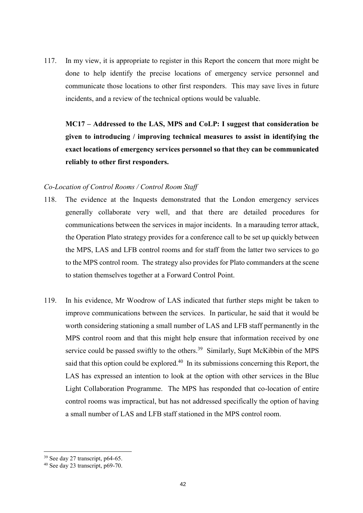117. In my view, it is appropriate to register in this Report the concern that more might be done to help identify the precise locations of emergency service personnel and communicate those locations to other first responders. This may save lives in future incidents, and a review of the technical options would be valuable.

**MC17 – Addressed to the LAS, MPS and CoLP: I suggest that consideration be given to introducing / improving technical measures to assist in identifying the exact locations of emergency services personnel so that they can be communicated reliably to other first responders.** 

#### *Co-Location of Control Rooms / Control Room Staff*

- 118. The evidence at the Inquests demonstrated that the London emergency services generally collaborate very well, and that there are detailed procedures for communications between the services in major incidents. In a marauding terror attack, the Operation Plato strategy provides for a conference call to be set up quickly between the MPS, LAS and LFB control rooms and for staff from the latter two services to go to the MPS control room. The strategy also provides for Plato commanders at the scene to station themselves together at a Forward Control Point.
- 119. In his evidence, Mr Woodrow of LAS indicated that further steps might be taken to improve communications between the services. In particular, he said that it would be worth considering stationing a small number of LAS and LFB staff permanently in the MPS control room and that this might help ensure that information received by one service could be passed swiftly to the others.<sup>39</sup> Similarly, Supt McKibbin of the MPS said that this option could be explored. $40$  In its submissions concerning this Report, the LAS has expressed an intention to look at the option with other services in the Blue Light Collaboration Programme. The MPS has responded that co-location of entire control rooms was impractical, but has not addressed specifically the option of having a small number of LAS and LFB staff stationed in the MPS control room.

<sup>&</sup>lt;u>.</u> <sup>39</sup> See day 27 transcript, p64-65.

 $40$  See day 23 transcript, p69-70.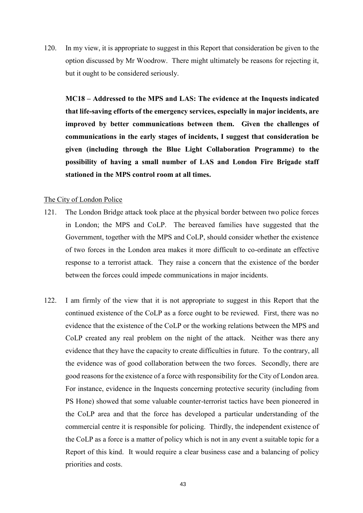120. In my view, it is appropriate to suggest in this Report that consideration be given to the option discussed by Mr Woodrow. There might ultimately be reasons for rejecting it, but it ought to be considered seriously.

**MC18 – Addressed to the MPS and LAS: The evidence at the Inquests indicated that life-saving efforts of the emergency services, especially in major incidents, are improved by better communications between them. Given the challenges of communications in the early stages of incidents, I suggest that consideration be given (including through the Blue Light Collaboration Programme) to the possibility of having a small number of LAS and London Fire Brigade staff stationed in the MPS control room at all times.** 

#### The City of London Police

- 121. The London Bridge attack took place at the physical border between two police forces in London; the MPS and CoLP. The bereaved families have suggested that the Government, together with the MPS and CoLP, should consider whether the existence of two forces in the London area makes it more difficult to co-ordinate an effective response to a terrorist attack. They raise a concern that the existence of the border between the forces could impede communications in major incidents.
- 122. I am firmly of the view that it is not appropriate to suggest in this Report that the continued existence of the CoLP as a force ought to be reviewed. First, there was no evidence that the existence of the CoLP or the working relations between the MPS and CoLP created any real problem on the night of the attack. Neither was there any evidence that they have the capacity to create difficulties in future. To the contrary, all the evidence was of good collaboration between the two forces. Secondly, there are good reasons for the existence of a force with responsibility for the City of London area. For instance, evidence in the Inquests concerning protective security (including from PS Hone) showed that some valuable counter-terrorist tactics have been pioneered in the CoLP area and that the force has developed a particular understanding of the commercial centre it is responsible for policing. Thirdly, the independent existence of the CoLP as a force is a matter of policy which is not in any event a suitable topic for a Report of this kind. It would require a clear business case and a balancing of policy priorities and costs.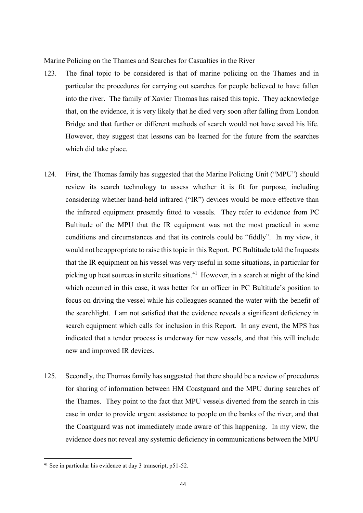#### Marine Policing on the Thames and Searches for Casualties in the River

- 123. The final topic to be considered is that of marine policing on the Thames and in particular the procedures for carrying out searches for people believed to have fallen into the river. The family of Xavier Thomas has raised this topic. They acknowledge that, on the evidence, it is very likely that he died very soon after falling from London Bridge and that further or different methods of search would not have saved his life. However, they suggest that lessons can be learned for the future from the searches which did take place.
- 124. First, the Thomas family has suggested that the Marine Policing Unit ("MPU") should review its search technology to assess whether it is fit for purpose, including considering whether hand-held infrared ("IR") devices would be more effective than the infrared equipment presently fitted to vessels. They refer to evidence from PC Bultitude of the MPU that the IR equipment was not the most practical in some conditions and circumstances and that its controls could be "fiddly". In my view, it would not be appropriate to raise this topic in this Report. PC Bultitude told the Inquests that the IR equipment on his vessel was very useful in some situations, in particular for picking up heat sources in sterile situations.<sup>41</sup> However, in a search at night of the kind which occurred in this case, it was better for an officer in PC Bultitude's position to focus on driving the vessel while his colleagues scanned the water with the benefit of the searchlight. I am not satisfied that the evidence reveals a significant deficiency in search equipment which calls for inclusion in this Report. In any event, the MPS has indicated that a tender process is underway for new vessels, and that this will include new and improved IR devices.
- 125. Secondly, the Thomas family has suggested that there should be a review of procedures for sharing of information between HM Coastguard and the MPU during searches of the Thames. They point to the fact that MPU vessels diverted from the search in this case in order to provide urgent assistance to people on the banks of the river, and that the Coastguard was not immediately made aware of this happening. In my view, the evidence does not reveal any systemic deficiency in communications between the MPU

<sup>&</sup>lt;sup>41</sup> See in particular his evidence at day 3 transcript, p51-52.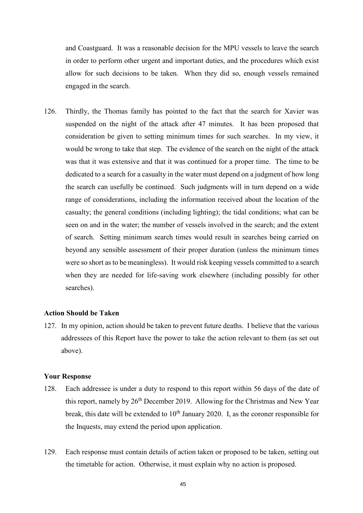and Coastguard. It was a reasonable decision for the MPU vessels to leave the search in order to perform other urgent and important duties, and the procedures which exist allow for such decisions to be taken. When they did so, enough vessels remained engaged in the search.

126. Thirdly, the Thomas family has pointed to the fact that the search for Xavier was suspended on the night of the attack after 47 minutes. It has been proposed that consideration be given to setting minimum times for such searches. In my view, it would be wrong to take that step. The evidence of the search on the night of the attack was that it was extensive and that it was continued for a proper time. The time to be dedicated to a search for a casualty in the water must depend on a judgment of how long the search can usefully be continued. Such judgments will in turn depend on a wide range of considerations, including the information received about the location of the casualty; the general conditions (including lighting); the tidal conditions; what can be seen on and in the water; the number of vessels involved in the search; and the extent of search. Setting minimum search times would result in searches being carried on beyond any sensible assessment of their proper duration (unless the minimum times were so short as to be meaningless). It would risk keeping vessels committed to a search when they are needed for life-saving work elsewhere (including possibly for other searches).

#### **Action Should be Taken**

127. In my opinion, action should be taken to prevent future deaths. I believe that the various addressees of this Report have the power to take the action relevant to them (as set out above).

#### **Your Response**

- 128. Each addressee is under a duty to respond to this report within 56 days of the date of this report, namely by  $26<sup>th</sup>$  December 2019. Allowing for the Christmas and New Year break, this date will be extended to  $10<sup>th</sup>$  January 2020. I, as the coroner responsible for the Inquests, may extend the period upon application.
- 129. Each response must contain details of action taken or proposed to be taken, setting out the timetable for action. Otherwise, it must explain why no action is proposed.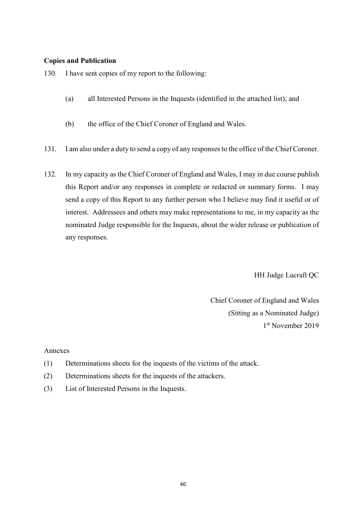### **Copies and Publication**

130. I have sent copies of my report to the following:

- (a) all Interested Persons in the Inquests (identified in the attached list); and
- (b) the office of the Chief Coroner of England and Wales.
- 131. I am also under a duty to send a copy of any responses to the office of the Chief Coroner.
- 132. In my capacity as the Chief Coroner of England and Wales, I may in due course publish this Report and/or any responses in complete or redacted or summary forms. I may send a copy of this Report to any further person who I believe may find it useful or of interest. Addressees and others may make representations to me, in my capacity as the nominated Judge responsible for the Inquests, about the wider release or publication of any responses.

HH Judge Lucraft QC

Chief Coroner of England and Wales (Sitting as a Nominated Judge) 1 st November 2019

Annexes

- (1) Determinations sheets for the inquests of the victims of the attack.
- (2) Determinations sheets for the inquests of the attackers.
- (3) List of Interested Persons in the Inquests.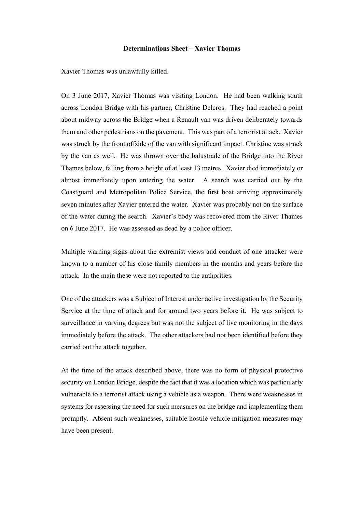#### **Determinations Sheet – Xavier Thomas**

Xavier Thomas was unlawfully killed.

On 3 June 2017, Xavier Thomas was visiting London. He had been walking south across London Bridge with his partner, Christine Delcros. They had reached a point about midway across the Bridge when a Renault van was driven deliberately towards them and other pedestrians on the pavement. This was part of a terrorist attack. Xavier was struck by the front offside of the van with significant impact. Christine was struck by the van as well. He was thrown over the balustrade of the Bridge into the River Thames below, falling from a height of at least 13 metres. Xavier died immediately or almost immediately upon entering the water. A search was carried out by the Coastguard and Metropolitan Police Service, the first boat arriving approximately seven minutes after Xavier entered the water. Xavier was probably not on the surface of the water during the search. Xavier's body was recovered from the River Thames on 6 June 2017. He was assessed as dead by a police officer.

Multiple warning signs about the extremist views and conduct of one attacker were known to a number of his close family members in the months and years before the attack. In the main these were not reported to the authorities.

One of the attackers was a Subject of Interest under active investigation by the Security Service at the time of attack and for around two years before it. He was subject to surveillance in varying degrees but was not the subject of live monitoring in the days immediately before the attack. The other attackers had not been identified before they carried out the attack together.

At the time of the attack described above, there was no form of physical protective security on London Bridge, despite the fact that it was a location which was particularly vulnerable to a terrorist attack using a vehicle as a weapon. There were weaknesses in systems for assessing the need for such measures on the bridge and implementing them promptly. Absent such weaknesses, suitable hostile vehicle mitigation measures may have been present.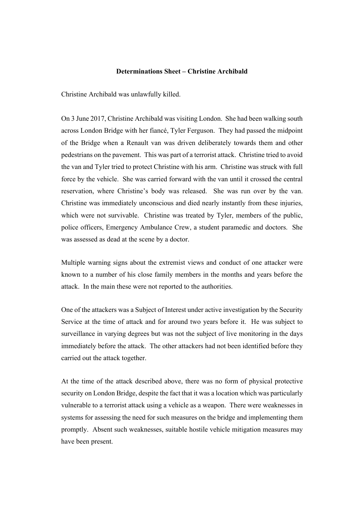#### **Determinations Sheet – Christine Archibald**

Christine Archibald was unlawfully killed.

On 3 June 2017, Christine Archibald was visiting London. She had been walking south across London Bridge with her fiancé, Tyler Ferguson. They had passed the midpoint of the Bridge when a Renault van was driven deliberately towards them and other pedestrians on the pavement. This was part of a terrorist attack. Christine tried to avoid the van and Tyler tried to protect Christine with his arm. Christine was struck with full force by the vehicle. She was carried forward with the van until it crossed the central reservation, where Christine's body was released. She was run over by the van. Christine was immediately unconscious and died nearly instantly from these injuries, which were not survivable. Christine was treated by Tyler, members of the public, police officers, Emergency Ambulance Crew, a student paramedic and doctors. She was assessed as dead at the scene by a doctor.

Multiple warning signs about the extremist views and conduct of one attacker were known to a number of his close family members in the months and years before the attack. In the main these were not reported to the authorities.

One of the attackers was a Subject of Interest under active investigation by the Security Service at the time of attack and for around two years before it. He was subject to surveillance in varying degrees but was not the subject of live monitoring in the days immediately before the attack. The other attackers had not been identified before they carried out the attack together.

At the time of the attack described above, there was no form of physical protective security on London Bridge, despite the fact that it was a location which was particularly vulnerable to a terrorist attack using a vehicle as a weapon. There were weaknesses in systems for assessing the need for such measures on the bridge and implementing them promptly. Absent such weaknesses, suitable hostile vehicle mitigation measures may have been present.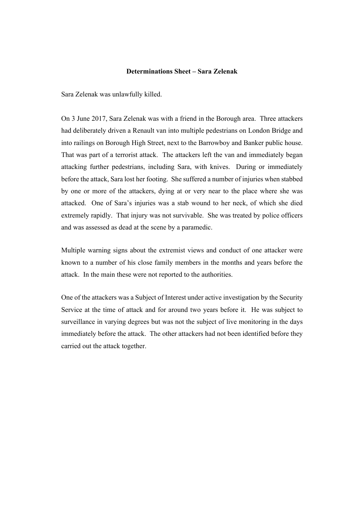#### **Determinations Sheet – Sara Zelenak**

Sara Zelenak was unlawfully killed.

On 3 June 2017, Sara Zelenak was with a friend in the Borough area. Three attackers had deliberately driven a Renault van into multiple pedestrians on London Bridge and into railings on Borough High Street, next to the Barrowboy and Banker public house. That was part of a terrorist attack. The attackers left the van and immediately began attacking further pedestrians, including Sara, with knives. During or immediately before the attack, Sara lost her footing. She suffered a number of injuries when stabbed by one or more of the attackers, dying at or very near to the place where she was attacked. One of Sara's injuries was a stab wound to her neck, of which she died extremely rapidly. That injury was not survivable. She was treated by police officers and was assessed as dead at the scene by a paramedic.

Multiple warning signs about the extremist views and conduct of one attacker were known to a number of his close family members in the months and years before the attack. In the main these were not reported to the authorities.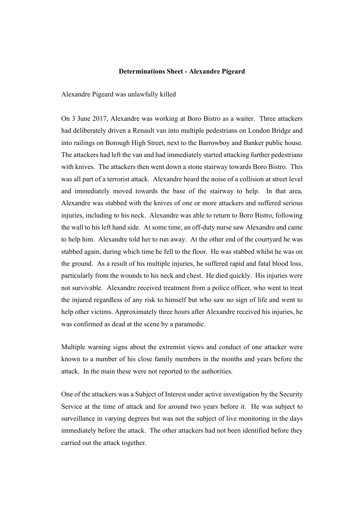#### **Determinations Sheet - Alexandre Pigeard**

Alexandre Pigeard was unlawfully killed

On 3 June 2017, Alexandre was working at Boro Bistro as a waiter. Three attackers had deliberately driven a Renault van into multiple pedestrians on London Bridge and into railings on Borough High Street, next to the Barrowboy and Banker public house. The attackers had left the van and had immediately started attacking further pedestrians with knives. The attackers then went down a stone stairway towards Boro Bistro. This was all part of a terrorist attack. Alexandre heard the noise of a collision at street level and immediately moved towards the base of the stairway to help. In that area, Alexandre was stabbed with the knives of one or more attackers and suffered serious injuries, including to his neck. Alexandre was able to return to Boro Bistro, following the wall to his left hand side. At some time, an off-duty nurse saw Alexandre and came to help him. Alexandre told her to run away. At the other end of the courtyard he was stabbed again, during which time he fell to the floor. He was stabbed whilst he was on the ground. As a result of his multiple injuries, he suffered rapid and fatal blood loss, particularly from the wounds to his neck and chest. He died quickly. His injuries were not survivable. Alexandre received treatment from a police officer, who went to treat the injured regardless of any risk to himself but who saw no sign of life and went to help other victims. Approximately three hours after Alexandre received his injuries, he was confirmed as dead at the scene by a paramedic.

Multiple warning signs about the extremist views and conduct of one attacker were known to a number of his close family members in the months and years before the attack. In the main these were not reported to the authorities.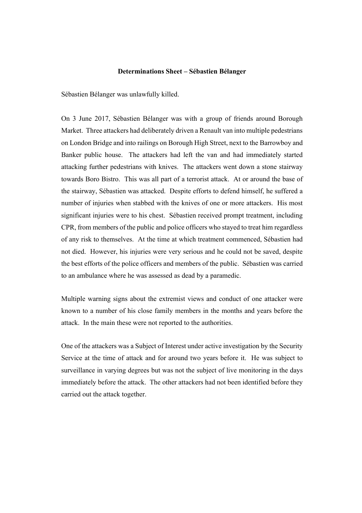#### **Determinations Sheet – Sébastien Bélanger**

Sébastien Bélanger was unlawfully killed.

On 3 June 2017, Sébastien Bélanger was with a group of friends around Borough Market. Three attackers had deliberately driven a Renault van into multiple pedestrians on London Bridge and into railings on Borough High Street, next to the Barrowboy and Banker public house. The attackers had left the van and had immediately started attacking further pedestrians with knives. The attackers went down a stone stairway towards Boro Bistro. This was all part of a terrorist attack. At or around the base of the stairway, Sébastien was attacked. Despite efforts to defend himself, he suffered a number of injuries when stabbed with the knives of one or more attackers. His most significant injuries were to his chest. Sébastien received prompt treatment, including CPR, from members of the public and police officers who stayed to treat him regardless of any risk to themselves. At the time at which treatment commenced, Sébastien had not died. However, his injuries were very serious and he could not be saved, despite the best efforts of the police officers and members of the public. Sébastien was carried to an ambulance where he was assessed as dead by a paramedic.

Multiple warning signs about the extremist views and conduct of one attacker were known to a number of his close family members in the months and years before the attack. In the main these were not reported to the authorities.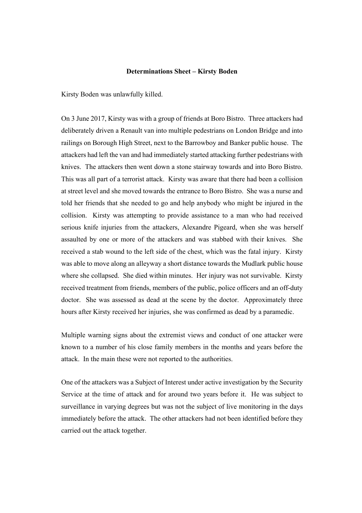#### **Determinations Sheet – Kirsty Boden**

Kirsty Boden was unlawfully killed.

On 3 June 2017, Kirsty was with a group of friends at Boro Bistro. Three attackers had deliberately driven a Renault van into multiple pedestrians on London Bridge and into railings on Borough High Street, next to the Barrowboy and Banker public house. The attackers had left the van and had immediately started attacking further pedestrians with knives. The attackers then went down a stone stairway towards and into Boro Bistro. This was all part of a terrorist attack. Kirsty was aware that there had been a collision at street level and she moved towards the entrance to Boro Bistro. She was a nurse and told her friends that she needed to go and help anybody who might be injured in the collision. Kirsty was attempting to provide assistance to a man who had received serious knife injuries from the attackers, Alexandre Pigeard, when she was herself assaulted by one or more of the attackers and was stabbed with their knives. She received a stab wound to the left side of the chest, which was the fatal injury. Kirsty was able to move along an alleyway a short distance towards the Mudlark public house where she collapsed. She died within minutes. Her injury was not survivable. Kirsty received treatment from friends, members of the public, police officers and an off-duty doctor. She was assessed as dead at the scene by the doctor. Approximately three hours after Kirsty received her injuries, she was confirmed as dead by a paramedic.

Multiple warning signs about the extremist views and conduct of one attacker were known to a number of his close family members in the months and years before the attack. In the main these were not reported to the authorities.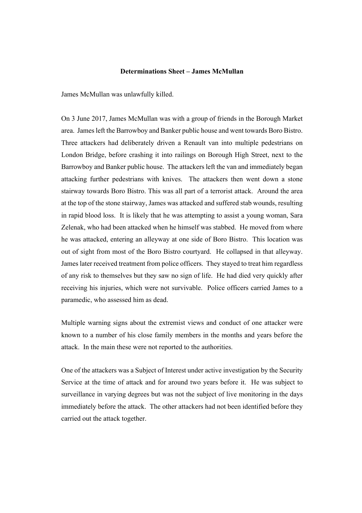#### **Determinations Sheet – James McMullan**

James McMullan was unlawfully killed.

On 3 June 2017, James McMullan was with a group of friends in the Borough Market area. James left the Barrowboy and Banker public house and went towards Boro Bistro. Three attackers had deliberately driven a Renault van into multiple pedestrians on London Bridge, before crashing it into railings on Borough High Street, next to the Barrowboy and Banker public house. The attackers left the van and immediately began attacking further pedestrians with knives. The attackers then went down a stone stairway towards Boro Bistro. This was all part of a terrorist attack. Around the area at the top of the stone stairway, James was attacked and suffered stab wounds, resulting in rapid blood loss. It is likely that he was attempting to assist a young woman, Sara Zelenak, who had been attacked when he himself was stabbed. He moved from where he was attacked, entering an alleyway at one side of Boro Bistro. This location was out of sight from most of the Boro Bistro courtyard. He collapsed in that alleyway. James later received treatment from police officers. They stayed to treat him regardless of any risk to themselves but they saw no sign of life. He had died very quickly after receiving his injuries, which were not survivable. Police officers carried James to a paramedic, who assessed him as dead.

Multiple warning signs about the extremist views and conduct of one attacker were known to a number of his close family members in the months and years before the attack. In the main these were not reported to the authorities.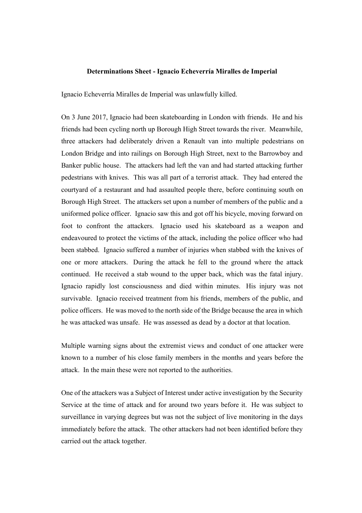#### **Determinations Sheet - Ignacio Echeverría Miralles de Imperial**

Ignacio Echeverría Miralles de Imperial was unlawfully killed.

On 3 June 2017, Ignacio had been skateboarding in London with friends. He and his friends had been cycling north up Borough High Street towards the river. Meanwhile, three attackers had deliberately driven a Renault van into multiple pedestrians on London Bridge and into railings on Borough High Street, next to the Barrowboy and Banker public house. The attackers had left the van and had started attacking further pedestrians with knives. This was all part of a terrorist attack. They had entered the courtyard of a restaurant and had assaulted people there, before continuing south on Borough High Street. The attackers set upon a number of members of the public and a uniformed police officer. Ignacio saw this and got off his bicycle, moving forward on foot to confront the attackers. Ignacio used his skateboard as a weapon and endeavoured to protect the victims of the attack, including the police officer who had been stabbed. Ignacio suffered a number of injuries when stabbed with the knives of one or more attackers. During the attack he fell to the ground where the attack continued. He received a stab wound to the upper back, which was the fatal injury. Ignacio rapidly lost consciousness and died within minutes. His injury was not survivable. Ignacio received treatment from his friends, members of the public, and police officers. He was moved to the north side of the Bridge because the area in which he was attacked was unsafe. He was assessed as dead by a doctor at that location.

Multiple warning signs about the extremist views and conduct of one attacker were known to a number of his close family members in the months and years before the attack. In the main these were not reported to the authorities.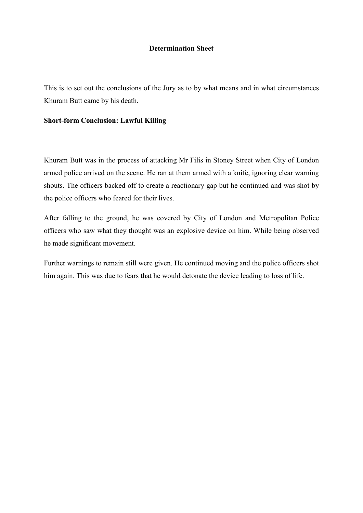# **Determination Sheet**

This is to set out the conclusions of the Jury as to by what means and in what circumstances Khuram Butt came by his death.

### **Short-form Conclusion: Lawful Killing**

Khuram Butt was in the process of attacking Mr Filis in Stoney Street when City of London armed police arrived on the scene. He ran at them armed with a knife, ignoring clear warning shouts. The officers backed off to create a reactionary gap but he continued and was shot by the police officers who feared for their lives.

After falling to the ground, he was covered by City of London and Metropolitan Police officers who saw what they thought was an explosive device on him. While being observed he made significant movement.

Further warnings to remain still were given. He continued moving and the police officers shot him again. This was due to fears that he would detonate the device leading to loss of life.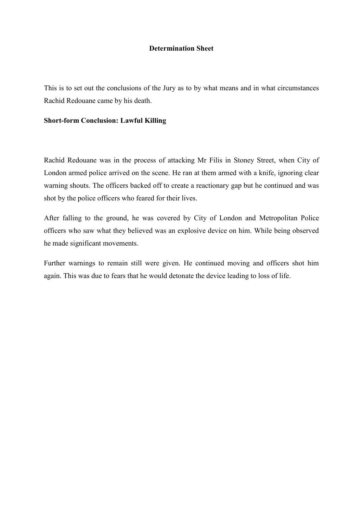## **Determination Sheet**

This is to set out the conclusions of the Jury as to by what means and in what circumstances Rachid Redouane came by his death.

#### **Short-form Conclusion: Lawful Killing**

Rachid Redouane was in the process of attacking Mr Filis in Stoney Street, when City of London armed police arrived on the scene. He ran at them armed with a knife, ignoring clear warning shouts. The officers backed off to create a reactionary gap but he continued and was shot by the police officers who feared for their lives.

After falling to the ground, he was covered by City of London and Metropolitan Police officers who saw what they believed was an explosive device on him. While being observed he made significant movements.

Further warnings to remain still were given. He continued moving and officers shot him again. This was due to fears that he would detonate the device leading to loss of life.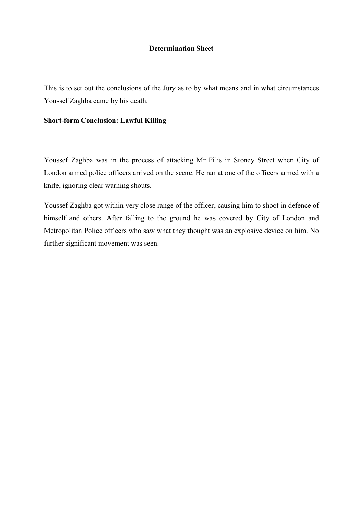# **Determination Sheet**

This is to set out the conclusions of the Jury as to by what means and in what circumstances Youssef Zaghba came by his death.

### **Short-form Conclusion: Lawful Killing**

Youssef Zaghba was in the process of attacking Mr Filis in Stoney Street when City of London armed police officers arrived on the scene. He ran at one of the officers armed with a knife, ignoring clear warning shouts.

Youssef Zaghba got within very close range of the officer, causing him to shoot in defence of himself and others. After falling to the ground he was covered by City of London and Metropolitan Police officers who saw what they thought was an explosive device on him. No further significant movement was seen.